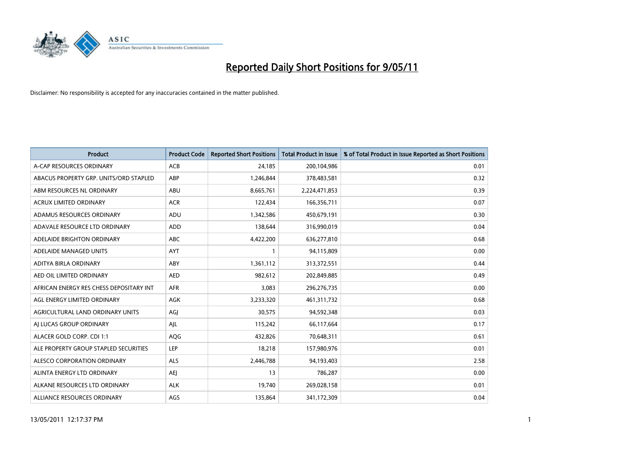

| <b>Product</b>                          | <b>Product Code</b> | <b>Reported Short Positions</b> | <b>Total Product in Issue</b> | % of Total Product in Issue Reported as Short Positions |
|-----------------------------------------|---------------------|---------------------------------|-------------------------------|---------------------------------------------------------|
| A-CAP RESOURCES ORDINARY                | <b>ACB</b>          | 24,185                          | 200,104,986                   | 0.01                                                    |
| ABACUS PROPERTY GRP. UNITS/ORD STAPLED  | ABP                 | 1,246,844                       | 378,483,581                   | 0.32                                                    |
| ABM RESOURCES NL ORDINARY               | ABU                 | 8,665,761                       | 2,224,471,853                 | 0.39                                                    |
| ACRUX LIMITED ORDINARY                  | <b>ACR</b>          | 122,434                         | 166,356,711                   | 0.07                                                    |
| ADAMUS RESOURCES ORDINARY               | ADU                 | 1,342,586                       | 450,679,191                   | 0.30                                                    |
| ADAVALE RESOURCE LTD ORDINARY           | ADD                 | 138,644                         | 316,990,019                   | 0.04                                                    |
| ADELAIDE BRIGHTON ORDINARY              | <b>ABC</b>          | 4,422,200                       | 636,277,810                   | 0.68                                                    |
| ADELAIDE MANAGED UNITS                  | <b>AYT</b>          |                                 | 94,115,809                    | 0.00                                                    |
| ADITYA BIRLA ORDINARY                   | ABY                 | 1,361,112                       | 313,372,551                   | 0.44                                                    |
| AED OIL LIMITED ORDINARY                | <b>AED</b>          | 982,612                         | 202,849,885                   | 0.49                                                    |
| AFRICAN ENERGY RES CHESS DEPOSITARY INT | <b>AFR</b>          | 3,083                           | 296,276,735                   | 0.00                                                    |
| AGL ENERGY LIMITED ORDINARY             | <b>AGK</b>          | 3,233,320                       | 461,311,732                   | 0.68                                                    |
| AGRICULTURAL LAND ORDINARY UNITS        | AGJ                 | 30,575                          | 94,592,348                    | 0.03                                                    |
| AI LUCAS GROUP ORDINARY                 | AJL                 | 115,242                         | 66,117,664                    | 0.17                                                    |
| ALACER GOLD CORP. CDI 1:1               | AQG                 | 432,826                         | 70,648,311                    | 0.61                                                    |
| ALE PROPERTY GROUP STAPLED SECURITIES   | <b>LEP</b>          | 18,218                          | 157,980,976                   | 0.01                                                    |
| ALESCO CORPORATION ORDINARY             | <b>ALS</b>          | 2,446,788                       | 94,193,403                    | 2.58                                                    |
| ALINTA ENERGY LTD ORDINARY              | AEJ                 | 13                              | 786,287                       | 0.00                                                    |
| ALKANE RESOURCES LTD ORDINARY           | <b>ALK</b>          | 19,740                          | 269,028,158                   | 0.01                                                    |
| ALLIANCE RESOURCES ORDINARY             | AGS                 | 135,864                         | 341,172,309                   | 0.04                                                    |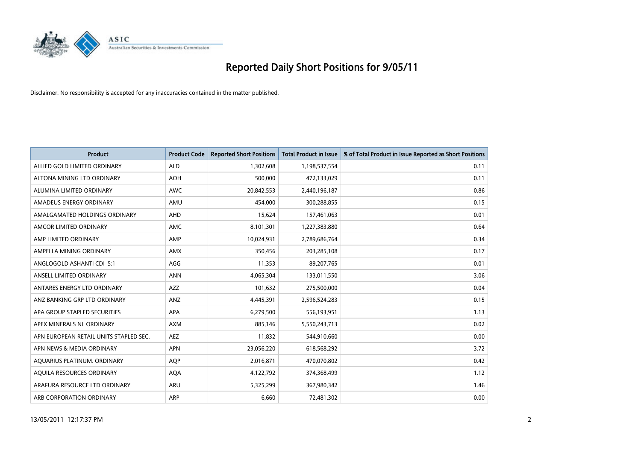

| <b>Product</b>                         | <b>Product Code</b> | <b>Reported Short Positions</b> | Total Product in Issue | % of Total Product in Issue Reported as Short Positions |
|----------------------------------------|---------------------|---------------------------------|------------------------|---------------------------------------------------------|
| ALLIED GOLD LIMITED ORDINARY           | <b>ALD</b>          | 1,302,608                       | 1,198,537,554          | 0.11                                                    |
| ALTONA MINING LTD ORDINARY             | <b>AOH</b>          | 500,000                         | 472,133,029            | 0.11                                                    |
| ALUMINA LIMITED ORDINARY               | <b>AWC</b>          | 20,842,553                      | 2,440,196,187          | 0.86                                                    |
| AMADEUS ENERGY ORDINARY                | AMU                 | 454,000                         | 300,288,855            | 0.15                                                    |
| AMALGAMATED HOLDINGS ORDINARY          | AHD                 | 15,624                          | 157,461,063            | 0.01                                                    |
| AMCOR LIMITED ORDINARY                 | <b>AMC</b>          | 8,101,301                       | 1,227,383,880          | 0.64                                                    |
| AMP LIMITED ORDINARY                   | AMP                 | 10,024,931                      | 2,789,686,764          | 0.34                                                    |
| AMPELLA MINING ORDINARY                | <b>AMX</b>          | 350,456                         | 203,285,108            | 0.17                                                    |
| ANGLOGOLD ASHANTI CDI 5:1              | AGG                 | 11,353                          | 89,207,765             | 0.01                                                    |
| ANSELL LIMITED ORDINARY                | <b>ANN</b>          | 4,065,304                       | 133,011,550            | 3.06                                                    |
| ANTARES ENERGY LTD ORDINARY            | <b>AZZ</b>          | 101,632                         | 275,500,000            | 0.04                                                    |
| ANZ BANKING GRP LTD ORDINARY           | <b>ANZ</b>          | 4,445,391                       | 2,596,524,283          | 0.15                                                    |
| APA GROUP STAPLED SECURITIES           | <b>APA</b>          | 6,279,500                       | 556,193,951            | 1.13                                                    |
| APEX MINERALS NL ORDINARY              | <b>AXM</b>          | 885,146                         | 5,550,243,713          | 0.02                                                    |
| APN EUROPEAN RETAIL UNITS STAPLED SEC. | <b>AEZ</b>          | 11,832                          | 544,910,660            | 0.00                                                    |
| APN NEWS & MEDIA ORDINARY              | <b>APN</b>          | 23,056,220                      | 618,568,292            | 3.72                                                    |
| AQUARIUS PLATINUM. ORDINARY            | <b>AOP</b>          | 2,016,871                       | 470,070,802            | 0.42                                                    |
| AQUILA RESOURCES ORDINARY              | <b>AQA</b>          | 4,122,792                       | 374,368,499            | 1.12                                                    |
| ARAFURA RESOURCE LTD ORDINARY          | <b>ARU</b>          | 5,325,299                       | 367,980,342            | 1.46                                                    |
| ARB CORPORATION ORDINARY               | ARP                 | 6,660                           | 72,481,302             | 0.00                                                    |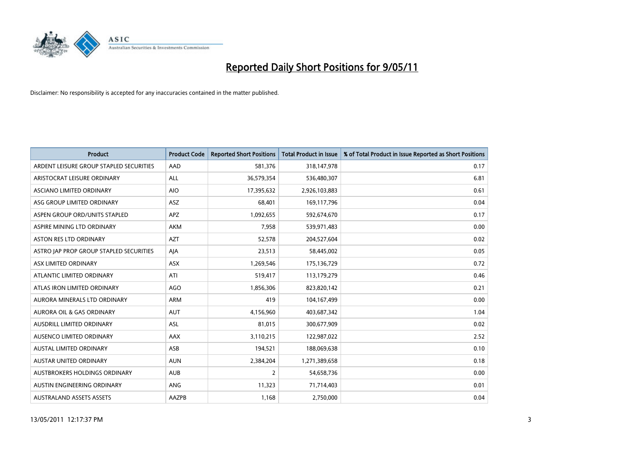

| <b>Product</b>                          | <b>Product Code</b> | <b>Reported Short Positions</b> | <b>Total Product in Issue</b> | % of Total Product in Issue Reported as Short Positions |
|-----------------------------------------|---------------------|---------------------------------|-------------------------------|---------------------------------------------------------|
| ARDENT LEISURE GROUP STAPLED SECURITIES | AAD                 | 581,376                         | 318,147,978                   | 0.17                                                    |
| ARISTOCRAT LEISURE ORDINARY             | ALL                 | 36,579,354                      | 536,480,307                   | 6.81                                                    |
| ASCIANO LIMITED ORDINARY                | <b>AIO</b>          | 17,395,632                      | 2,926,103,883                 | 0.61                                                    |
| ASG GROUP LIMITED ORDINARY              | <b>ASZ</b>          | 68,401                          | 169,117,796                   | 0.04                                                    |
| ASPEN GROUP ORD/UNITS STAPLED           | <b>APZ</b>          | 1,092,655                       | 592,674,670                   | 0.17                                                    |
| ASPIRE MINING LTD ORDINARY              | <b>AKM</b>          | 7,958                           | 539,971,483                   | 0.00                                                    |
| ASTON RES LTD ORDINARY                  | <b>AZT</b>          | 52,578                          | 204,527,604                   | 0.02                                                    |
| ASTRO JAP PROP GROUP STAPLED SECURITIES | AJA                 | 23,513                          | 58,445,002                    | 0.05                                                    |
| ASX LIMITED ORDINARY                    | <b>ASX</b>          | 1,269,546                       | 175,136,729                   | 0.72                                                    |
| ATLANTIC LIMITED ORDINARY               | ATI                 | 519,417                         | 113,179,279                   | 0.46                                                    |
| ATLAS IRON LIMITED ORDINARY             | AGO                 | 1,856,306                       | 823,820,142                   | 0.21                                                    |
| AURORA MINERALS LTD ORDINARY            | ARM                 | 419                             | 104,167,499                   | 0.00                                                    |
| <b>AURORA OIL &amp; GAS ORDINARY</b>    | <b>AUT</b>          | 4,156,960                       | 403,687,342                   | 1.04                                                    |
| <b>AUSDRILL LIMITED ORDINARY</b>        | <b>ASL</b>          | 81,015                          | 300,677,909                   | 0.02                                                    |
| AUSENCO LIMITED ORDINARY                | <b>AAX</b>          | 3,110,215                       | 122,987,022                   | 2.52                                                    |
| AUSTAL LIMITED ORDINARY                 | ASB                 | 194,521                         | 188,069,638                   | 0.10                                                    |
| AUSTAR UNITED ORDINARY                  | <b>AUN</b>          | 2,384,204                       | 1,271,389,658                 | 0.18                                                    |
| AUSTBROKERS HOLDINGS ORDINARY           | <b>AUB</b>          | $\overline{2}$                  | 54,658,736                    | 0.00                                                    |
| AUSTIN ENGINEERING ORDINARY             | ANG                 | 11,323                          | 71,714,403                    | 0.01                                                    |
| <b>AUSTRALAND ASSETS ASSETS</b>         | <b>AAZPB</b>        | 1,168                           | 2,750,000                     | 0.04                                                    |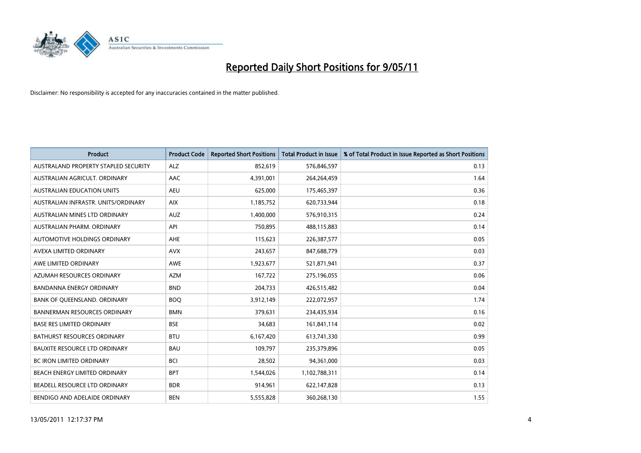

| <b>Product</b>                       | <b>Product Code</b> | <b>Reported Short Positions</b> | Total Product in Issue | % of Total Product in Issue Reported as Short Positions |
|--------------------------------------|---------------------|---------------------------------|------------------------|---------------------------------------------------------|
| AUSTRALAND PROPERTY STAPLED SECURITY | <b>ALZ</b>          | 852,619                         | 576,846,597            | 0.13                                                    |
| AUSTRALIAN AGRICULT. ORDINARY        | AAC                 | 4,391,001                       | 264,264,459            | 1.64                                                    |
| <b>AUSTRALIAN EDUCATION UNITS</b>    | <b>AEU</b>          | 625,000                         | 175,465,397            | 0.36                                                    |
| AUSTRALIAN INFRASTR. UNITS/ORDINARY  | <b>AIX</b>          | 1,185,752                       | 620,733,944            | 0.18                                                    |
| AUSTRALIAN MINES LTD ORDINARY        | <b>AUZ</b>          | 1,400,000                       | 576,910,315            | 0.24                                                    |
| AUSTRALIAN PHARM, ORDINARY           | API                 | 750,895                         | 488,115,883            | 0.14                                                    |
| AUTOMOTIVE HOLDINGS ORDINARY         | <b>AHE</b>          | 115,623                         | 226,387,577            | 0.05                                                    |
| AVEXA LIMITED ORDINARY               | <b>AVX</b>          | 243,657                         | 847,688,779            | 0.03                                                    |
| AWE LIMITED ORDINARY                 | <b>AWE</b>          | 1,923,677                       | 521,871,941            | 0.37                                                    |
| AZUMAH RESOURCES ORDINARY            | <b>AZM</b>          | 167,722                         | 275,196,055            | 0.06                                                    |
| BANDANNA ENERGY ORDINARY             | <b>BND</b>          | 204,733                         | 426,515,482            | 0.04                                                    |
| BANK OF QUEENSLAND. ORDINARY         | <b>BOO</b>          | 3,912,149                       | 222,072,957            | 1.74                                                    |
| <b>BANNERMAN RESOURCES ORDINARY</b>  | <b>BMN</b>          | 379,631                         | 234,435,934            | 0.16                                                    |
| <b>BASE RES LIMITED ORDINARY</b>     | <b>BSE</b>          | 34,683                          | 161,841,114            | 0.02                                                    |
| BATHURST RESOURCES ORDINARY          | <b>BTU</b>          | 6,167,420                       | 613,741,330            | 0.99                                                    |
| <b>BAUXITE RESOURCE LTD ORDINARY</b> | <b>BAU</b>          | 109,797                         | 235,379,896            | 0.05                                                    |
| <b>BC IRON LIMITED ORDINARY</b>      | <b>BCI</b>          | 28,502                          | 94,361,000             | 0.03                                                    |
| BEACH ENERGY LIMITED ORDINARY        | <b>BPT</b>          | 1,544,026                       | 1,102,788,311          | 0.14                                                    |
| BEADELL RESOURCE LTD ORDINARY        | <b>BDR</b>          | 914,961                         | 622,147,828            | 0.13                                                    |
| BENDIGO AND ADELAIDE ORDINARY        | <b>BEN</b>          | 5,555,828                       | 360,268,130            | 1.55                                                    |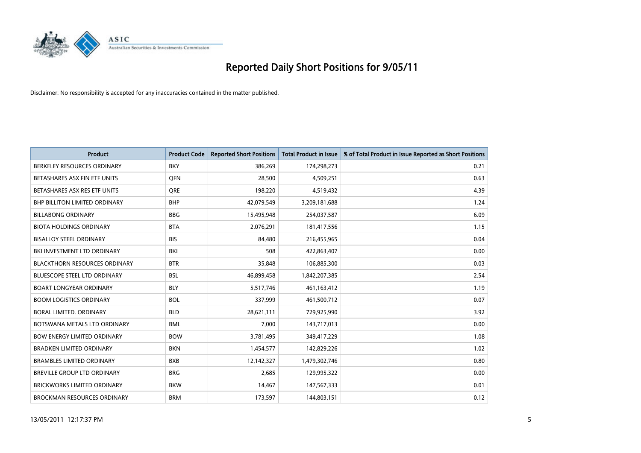

| <b>Product</b>                       | <b>Product Code</b> | <b>Reported Short Positions</b> | Total Product in Issue | % of Total Product in Issue Reported as Short Positions |
|--------------------------------------|---------------------|---------------------------------|------------------------|---------------------------------------------------------|
| BERKELEY RESOURCES ORDINARY          | <b>BKY</b>          | 386,269                         | 174,298,273            | 0.21                                                    |
| BETASHARES ASX FIN ETF UNITS         | <b>OFN</b>          | 28.500                          | 4,509,251              | 0.63                                                    |
| BETASHARES ASX RES ETF UNITS         | <b>ORE</b>          | 198,220                         | 4,519,432              | 4.39                                                    |
| BHP BILLITON LIMITED ORDINARY        | <b>BHP</b>          | 42,079,549                      | 3,209,181,688          | 1.24                                                    |
| <b>BILLABONG ORDINARY</b>            | <b>BBG</b>          | 15,495,948                      | 254,037,587            | 6.09                                                    |
| <b>BIOTA HOLDINGS ORDINARY</b>       | <b>BTA</b>          | 2,076,291                       | 181,417,556            | 1.15                                                    |
| <b>BISALLOY STEEL ORDINARY</b>       | <b>BIS</b>          | 84.480                          | 216,455,965            | 0.04                                                    |
| BKI INVESTMENT LTD ORDINARY          | <b>BKI</b>          | 508                             | 422,863,407            | 0.00                                                    |
| <b>BLACKTHORN RESOURCES ORDINARY</b> | <b>BTR</b>          | 35,848                          | 106,885,300            | 0.03                                                    |
| BLUESCOPE STEEL LTD ORDINARY         | <b>BSL</b>          | 46,899,458                      | 1,842,207,385          | 2.54                                                    |
| <b>BOART LONGYEAR ORDINARY</b>       | <b>BLY</b>          | 5,517,746                       | 461,163,412            | 1.19                                                    |
| <b>BOOM LOGISTICS ORDINARY</b>       | <b>BOL</b>          | 337,999                         | 461,500,712            | 0.07                                                    |
| <b>BORAL LIMITED, ORDINARY</b>       | <b>BLD</b>          | 28,621,111                      | 729,925,990            | 3.92                                                    |
| BOTSWANA METALS LTD ORDINARY         | <b>BML</b>          | 7,000                           | 143,717,013            | 0.00                                                    |
| <b>BOW ENERGY LIMITED ORDINARY</b>   | <b>BOW</b>          | 3,781,495                       | 349,417,229            | 1.08                                                    |
| <b>BRADKEN LIMITED ORDINARY</b>      | <b>BKN</b>          | 1,454,577                       | 142,829,226            | 1.02                                                    |
| <b>BRAMBLES LIMITED ORDINARY</b>     | <b>BXB</b>          | 12,142,327                      | 1,479,302,746          | 0.80                                                    |
| BREVILLE GROUP LTD ORDINARY          | <b>BRG</b>          | 2,685                           | 129,995,322            | 0.00                                                    |
| <b>BRICKWORKS LIMITED ORDINARY</b>   | <b>BKW</b>          | 14,467                          | 147,567,333            | 0.01                                                    |
| <b>BROCKMAN RESOURCES ORDINARY</b>   | <b>BRM</b>          | 173,597                         | 144,803,151            | 0.12                                                    |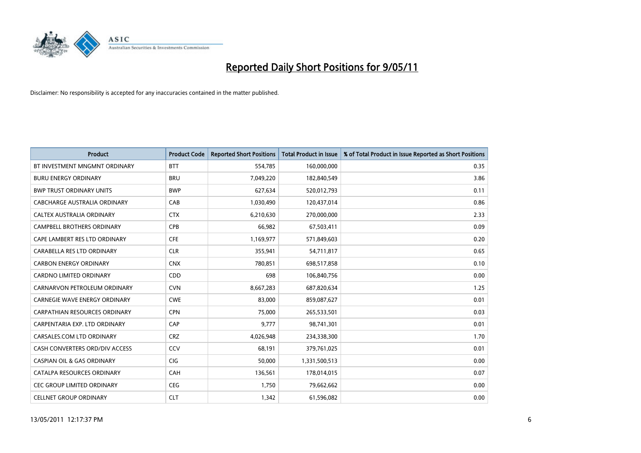

| <b>Product</b>                        | <b>Product Code</b> | <b>Reported Short Positions</b> | Total Product in Issue | % of Total Product in Issue Reported as Short Positions |
|---------------------------------------|---------------------|---------------------------------|------------------------|---------------------------------------------------------|
| BT INVESTMENT MNGMNT ORDINARY         | <b>BTT</b>          | 554,785                         | 160,000,000            | 0.35                                                    |
| <b>BURU ENERGY ORDINARY</b>           | <b>BRU</b>          | 7,049,220                       | 182,840,549            | 3.86                                                    |
| <b>BWP TRUST ORDINARY UNITS</b>       | <b>BWP</b>          | 627,634                         | 520,012,793            | 0.11                                                    |
| CABCHARGE AUSTRALIA ORDINARY          | CAB                 | 1,030,490                       | 120,437,014            | 0.86                                                    |
| CALTEX AUSTRALIA ORDINARY             | <b>CTX</b>          | 6,210,630                       | 270,000,000            | 2.33                                                    |
| <b>CAMPBELL BROTHERS ORDINARY</b>     | CPB                 | 66,982                          | 67,503,411             | 0.09                                                    |
| CAPE LAMBERT RES LTD ORDINARY         | <b>CFE</b>          | 1,169,977                       | 571,849,603            | 0.20                                                    |
| CARABELLA RES LTD ORDINARY            | <b>CLR</b>          | 355,941                         | 54,711,817             | 0.65                                                    |
| <b>CARBON ENERGY ORDINARY</b>         | <b>CNX</b>          | 780.851                         | 698,517,858            | 0.10                                                    |
| <b>CARDNO LIMITED ORDINARY</b>        | CDD                 | 698                             | 106,840,756            | 0.00                                                    |
| CARNARVON PETROLEUM ORDINARY          | <b>CVN</b>          | 8,667,283                       | 687,820,634            | 1.25                                                    |
| <b>CARNEGIE WAVE ENERGY ORDINARY</b>  | <b>CWE</b>          | 83,000                          | 859,087,627            | 0.01                                                    |
| CARPATHIAN RESOURCES ORDINARY         | <b>CPN</b>          | 75,000                          | 265,533,501            | 0.03                                                    |
| CARPENTARIA EXP. LTD ORDINARY         | CAP                 | 9,777                           | 98,741,301             | 0.01                                                    |
| CARSALES.COM LTD ORDINARY             | <b>CRZ</b>          | 4,026,948                       | 234,338,300            | 1.70                                                    |
| CASH CONVERTERS ORD/DIV ACCESS        | CCV                 | 68,191                          | 379,761,025            | 0.01                                                    |
| <b>CASPIAN OIL &amp; GAS ORDINARY</b> | CIG                 | 50,000                          | 1,331,500,513          | 0.00                                                    |
| CATALPA RESOURCES ORDINARY            | CAH                 | 136,561                         | 178,014,015            | 0.07                                                    |
| <b>CEC GROUP LIMITED ORDINARY</b>     | <b>CEG</b>          | 1,750                           | 79,662,662             | 0.00                                                    |
| <b>CELLNET GROUP ORDINARY</b>         | <b>CLT</b>          | 1,342                           | 61,596,082             | 0.00                                                    |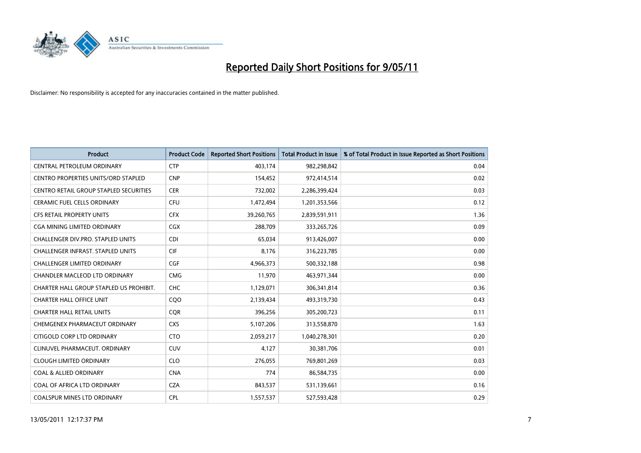

| <b>Product</b>                                | <b>Product Code</b> | <b>Reported Short Positions</b> | Total Product in Issue | % of Total Product in Issue Reported as Short Positions |
|-----------------------------------------------|---------------------|---------------------------------|------------------------|---------------------------------------------------------|
| CENTRAL PETROLEUM ORDINARY                    | <b>CTP</b>          | 403,174                         | 982,298,842            | 0.04                                                    |
| CENTRO PROPERTIES UNITS/ORD STAPLED           | <b>CNP</b>          | 154,452                         | 972,414,514            | 0.02                                                    |
| <b>CENTRO RETAIL GROUP STAPLED SECURITIES</b> | <b>CER</b>          | 732,002                         | 2,286,399,424          | 0.03                                                    |
| <b>CERAMIC FUEL CELLS ORDINARY</b>            | <b>CFU</b>          | 1,472,494                       | 1,201,353,566          | 0.12                                                    |
| <b>CFS RETAIL PROPERTY UNITS</b>              | <b>CFX</b>          | 39,260,765                      | 2,839,591,911          | 1.36                                                    |
| <b>CGA MINING LIMITED ORDINARY</b>            | <b>CGX</b>          | 288,709                         | 333,265,726            | 0.09                                                    |
| <b>CHALLENGER DIV.PRO. STAPLED UNITS</b>      | <b>CDI</b>          | 65,034                          | 913,426,007            | 0.00                                                    |
| <b>CHALLENGER INFRAST, STAPLED UNITS</b>      | <b>CIF</b>          | 8,176                           | 316,223,785            | 0.00                                                    |
| <b>CHALLENGER LIMITED ORDINARY</b>            | CGF                 | 4,966,373                       | 500,332,188            | 0.98                                                    |
| <b>CHANDLER MACLEOD LTD ORDINARY</b>          | <b>CMG</b>          | 11,970                          | 463,971,344            | 0.00                                                    |
| CHARTER HALL GROUP STAPLED US PROHIBIT.       | <b>CHC</b>          | 1,129,071                       | 306,341,814            | 0.36                                                    |
| <b>CHARTER HALL OFFICE UNIT</b>               | CQO                 | 2,139,434                       | 493,319,730            | 0.43                                                    |
| <b>CHARTER HALL RETAIL UNITS</b>              | <b>COR</b>          | 396,256                         | 305,200,723            | 0.11                                                    |
| CHEMGENEX PHARMACEUT ORDINARY                 | <b>CXS</b>          | 5,107,206                       | 313,558,870            | 1.63                                                    |
| CITIGOLD CORP LTD ORDINARY                    | <b>CTO</b>          | 2,059,217                       | 1,040,278,301          | 0.20                                                    |
| CLINUVEL PHARMACEUT, ORDINARY                 | <b>CUV</b>          | 4,127                           | 30,381,706             | 0.01                                                    |
| <b>CLOUGH LIMITED ORDINARY</b>                | <b>CLO</b>          | 276,055                         | 769,801,269            | 0.03                                                    |
| <b>COAL &amp; ALLIED ORDINARY</b>             | <b>CNA</b>          | 774                             | 86,584,735             | 0.00                                                    |
| COAL OF AFRICA LTD ORDINARY                   | <b>CZA</b>          | 843,537                         | 531,139,661            | 0.16                                                    |
| COALSPUR MINES LTD ORDINARY                   | <b>CPL</b>          | 1,557,537                       | 527,593,428            | 0.29                                                    |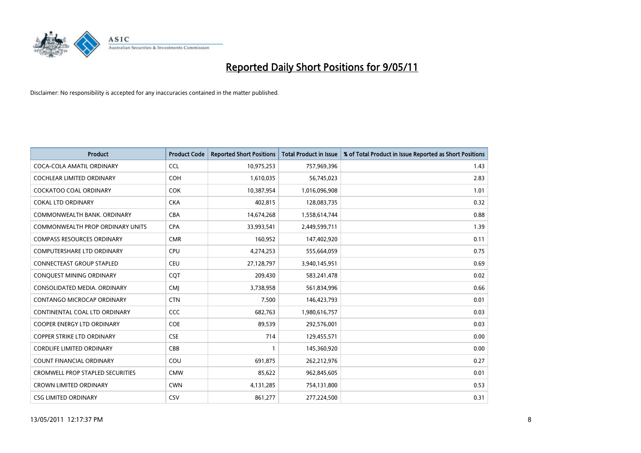

| <b>Product</b>                          | <b>Product Code</b> | <b>Reported Short Positions</b> | <b>Total Product in Issue</b> | % of Total Product in Issue Reported as Short Positions |
|-----------------------------------------|---------------------|---------------------------------|-------------------------------|---------------------------------------------------------|
|                                         |                     |                                 |                               |                                                         |
| COCA-COLA AMATIL ORDINARY               | <b>CCL</b>          | 10,975,253                      | 757,969,396                   | 1.43                                                    |
| COCHLEAR LIMITED ORDINARY               | <b>COH</b>          | 1,610,035                       | 56,745,023                    | 2.83                                                    |
| <b>COCKATOO COAL ORDINARY</b>           | <b>COK</b>          | 10,387,954                      | 1,016,096,908                 | 1.01                                                    |
| <b>COKAL LTD ORDINARY</b>               | <b>CKA</b>          | 402,815                         | 128,083,735                   | 0.32                                                    |
| COMMONWEALTH BANK, ORDINARY             | <b>CBA</b>          | 14,674,268                      | 1,558,614,744                 | 0.88                                                    |
| <b>COMMONWEALTH PROP ORDINARY UNITS</b> | <b>CPA</b>          | 33,993,541                      | 2,449,599,711                 | 1.39                                                    |
| <b>COMPASS RESOURCES ORDINARY</b>       | <b>CMR</b>          | 160,952                         | 147,402,920                   | 0.11                                                    |
| <b>COMPUTERSHARE LTD ORDINARY</b>       | <b>CPU</b>          | 4,274,253                       | 555,664,059                   | 0.75                                                    |
| <b>CONNECTEAST GROUP STAPLED</b>        | <b>CEU</b>          | 27,128,797                      | 3,940,145,951                 | 0.69                                                    |
| CONQUEST MINING ORDINARY                | <b>COT</b>          | 209,430                         | 583,241,478                   | 0.02                                                    |
| CONSOLIDATED MEDIA. ORDINARY            | <b>CMI</b>          | 3,738,958                       | 561,834,996                   | 0.66                                                    |
| CONTANGO MICROCAP ORDINARY              | <b>CTN</b>          | 7,500                           | 146,423,793                   | 0.01                                                    |
| CONTINENTAL COAL LTD ORDINARY           | CCC                 | 682,763                         | 1,980,616,757                 | 0.03                                                    |
| COOPER ENERGY LTD ORDINARY              | COE                 | 89,539                          | 292,576,001                   | 0.03                                                    |
| <b>COPPER STRIKE LTD ORDINARY</b>       | <b>CSE</b>          | 714                             | 129,455,571                   | 0.00                                                    |
| CORDLIFE LIMITED ORDINARY               | CBB                 |                                 | 145,360,920                   | 0.00                                                    |
| COUNT FINANCIAL ORDINARY                | COU                 | 691,875                         | 262,212,976                   | 0.27                                                    |
| CROMWELL PROP STAPLED SECURITIES        | <b>CMW</b>          | 85,622                          | 962,845,605                   | 0.01                                                    |
| <b>CROWN LIMITED ORDINARY</b>           | <b>CWN</b>          | 4,131,285                       | 754,131,800                   | 0.53                                                    |
| <b>CSG LIMITED ORDINARY</b>             | CSV                 | 861,277                         | 277,224,500                   | 0.31                                                    |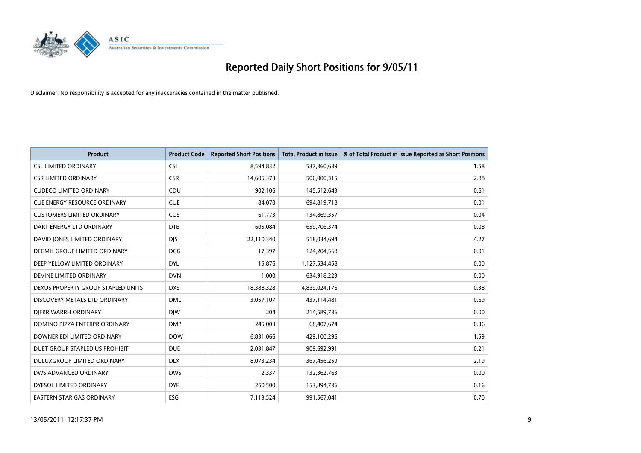

| <b>Product</b>                      | <b>Product Code</b> | <b>Reported Short Positions</b> | Total Product in Issue | % of Total Product in Issue Reported as Short Positions |
|-------------------------------------|---------------------|---------------------------------|------------------------|---------------------------------------------------------|
| <b>CSL LIMITED ORDINARY</b>         | <b>CSL</b>          | 8,594,832                       | 537,360,639            | 1.58                                                    |
| <b>CSR LIMITED ORDINARY</b>         | <b>CSR</b>          | 14,605,373                      | 506,000,315            | 2.88                                                    |
| <b>CUDECO LIMITED ORDINARY</b>      | <b>CDU</b>          | 902,106                         | 145,512,643            | 0.61                                                    |
| <b>CUE ENERGY RESOURCE ORDINARY</b> | <b>CUE</b>          | 84,070                          | 694,819,718            | 0.01                                                    |
| <b>CUSTOMERS LIMITED ORDINARY</b>   | <b>CUS</b>          | 61,773                          | 134,869,357            | 0.04                                                    |
| DART ENERGY LTD ORDINARY            | <b>DTE</b>          | 605,084                         | 659,706,374            | 0.08                                                    |
| DAVID JONES LIMITED ORDINARY        | <b>DIS</b>          | 22,110,340                      | 518,034,694            | 4.27                                                    |
| DECMIL GROUP LIMITED ORDINARY       | <b>DCG</b>          | 17,397                          | 124,204,568            | 0.01                                                    |
| DEEP YELLOW LIMITED ORDINARY        | <b>DYL</b>          | 15,876                          | 1,127,534,458          | 0.00                                                    |
| DEVINE LIMITED ORDINARY             | <b>DVN</b>          | 1,000                           | 634,918,223            | 0.00                                                    |
| DEXUS PROPERTY GROUP STAPLED UNITS  | <b>DXS</b>          | 18,388,328                      | 4,839,024,176          | 0.38                                                    |
| DISCOVERY METALS LTD ORDINARY       | <b>DML</b>          | 3,057,107                       | 437,114,481            | 0.69                                                    |
| DJERRIWARRH ORDINARY                | <b>DIW</b>          | 204                             | 214,589,736            | 0.00                                                    |
| DOMINO PIZZA ENTERPR ORDINARY       | <b>DMP</b>          | 245,003                         | 68,407,674             | 0.36                                                    |
| DOWNER EDI LIMITED ORDINARY         | <b>DOW</b>          | 6,831,066                       | 429,100,296            | 1.59                                                    |
| DUET GROUP STAPLED US PROHIBIT.     | <b>DUE</b>          | 2,031,847                       | 909,692,991            | 0.21                                                    |
| DULUXGROUP LIMITED ORDINARY         | <b>DLX</b>          | 8,073,234                       | 367,456,259            | 2.19                                                    |
| DWS ADVANCED ORDINARY               | <b>DWS</b>          | 2,337                           | 132,362,763            | 0.00                                                    |
| DYESOL LIMITED ORDINARY             | <b>DYE</b>          | 250,500                         | 153,894,736            | 0.16                                                    |
| <b>EASTERN STAR GAS ORDINARY</b>    | ESG                 | 7,113,524                       | 991,567,041            | 0.70                                                    |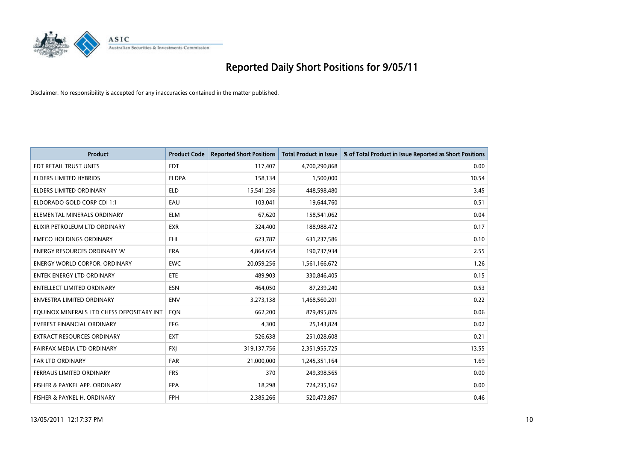

| <b>Product</b>                            | <b>Product Code</b> | <b>Reported Short Positions</b> | Total Product in Issue | % of Total Product in Issue Reported as Short Positions |
|-------------------------------------------|---------------------|---------------------------------|------------------------|---------------------------------------------------------|
| EDT RETAIL TRUST UNITS                    | <b>EDT</b>          | 117,407                         | 4,700,290,868          | 0.00                                                    |
| ELDERS LIMITED HYBRIDS                    | <b>ELDPA</b>        | 158,134                         | 1,500,000              | 10.54                                                   |
| <b>ELDERS LIMITED ORDINARY</b>            | <b>ELD</b>          | 15,541,236                      | 448,598,480            | 3.45                                                    |
| ELDORADO GOLD CORP CDI 1:1                | EAU                 | 103,041                         | 19,644,760             | 0.51                                                    |
| ELEMENTAL MINERALS ORDINARY               | <b>ELM</b>          | 67,620                          | 158,541,062            | 0.04                                                    |
| ELIXIR PETROLEUM LTD ORDINARY             | <b>EXR</b>          | 324,400                         | 188,988,472            | 0.17                                                    |
| <b>EMECO HOLDINGS ORDINARY</b>            | <b>EHL</b>          | 623,787                         | 631,237,586            | 0.10                                                    |
| ENERGY RESOURCES ORDINARY 'A'             | <b>ERA</b>          | 4,864,654                       | 190,737,934            | 2.55                                                    |
| <b>ENERGY WORLD CORPOR, ORDINARY</b>      | <b>EWC</b>          | 20,059,256                      | 1,561,166,672          | 1.26                                                    |
| <b>ENTEK ENERGY LTD ORDINARY</b>          | <b>ETE</b>          | 489,903                         | 330,846,405            | 0.15                                                    |
| ENTELLECT LIMITED ORDINARY                | <b>ESN</b>          | 464,050                         | 87,239,240             | 0.53                                                    |
| <b>ENVESTRA LIMITED ORDINARY</b>          | <b>ENV</b>          | 3,273,138                       | 1,468,560,201          | 0.22                                                    |
| EQUINOX MINERALS LTD CHESS DEPOSITARY INT | EON                 | 662,200                         | 879,495,876            | 0.06                                                    |
| <b>EVEREST FINANCIAL ORDINARY</b>         | EFG                 | 4,300                           | 25,143,824             | 0.02                                                    |
| <b>EXTRACT RESOURCES ORDINARY</b>         | <b>EXT</b>          | 526,638                         | 251,028,608            | 0.21                                                    |
| FAIRFAX MEDIA LTD ORDINARY                | <b>FXI</b>          | 319,137,756                     | 2,351,955,725          | 13.55                                                   |
| FAR LTD ORDINARY                          | <b>FAR</b>          | 21,000,000                      | 1,245,351,164          | 1.69                                                    |
| FERRAUS LIMITED ORDINARY                  | <b>FRS</b>          | 370                             | 249,398,565            | 0.00                                                    |
| FISHER & PAYKEL APP. ORDINARY             | <b>FPA</b>          | 18,298                          | 724,235,162            | 0.00                                                    |
| FISHER & PAYKEL H. ORDINARY               | <b>FPH</b>          | 2,385,266                       | 520,473,867            | 0.46                                                    |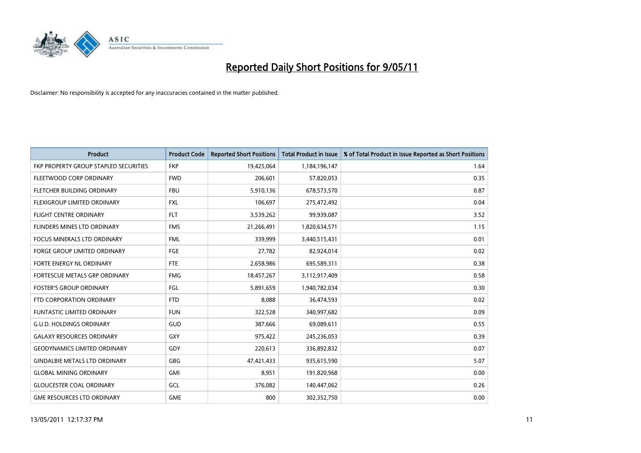

| <b>Product</b>                        | <b>Product Code</b> | <b>Reported Short Positions</b> | <b>Total Product in Issue</b> | % of Total Product in Issue Reported as Short Positions |
|---------------------------------------|---------------------|---------------------------------|-------------------------------|---------------------------------------------------------|
| FKP PROPERTY GROUP STAPLED SECURITIES | <b>FKP</b>          | 19,425,064                      | 1,184,196,147                 | 1.64                                                    |
| FLEETWOOD CORP ORDINARY               | <b>FWD</b>          | 206,601                         | 57,820,053                    | 0.35                                                    |
| FLETCHER BUILDING ORDINARY            | <b>FBU</b>          | 5,910,136                       | 678,573,570                   | 0.87                                                    |
| FLEXIGROUP LIMITED ORDINARY           | <b>FXL</b>          | 106,697                         | 275,472,492                   | 0.04                                                    |
| <b>FLIGHT CENTRE ORDINARY</b>         | <b>FLT</b>          | 3,539,262                       | 99,939,087                    | 3.52                                                    |
| FLINDERS MINES LTD ORDINARY           | <b>FMS</b>          | 21,266,491                      | 1,820,634,571                 | 1.15                                                    |
| FOCUS MINERALS LTD ORDINARY           | <b>FML</b>          | 339,999                         | 3,440,515,431                 | 0.01                                                    |
| FORGE GROUP LIMITED ORDINARY          | <b>FGE</b>          | 27,782                          | 82,924,014                    | 0.02                                                    |
| FORTE ENERGY NL ORDINARY              | <b>FTE</b>          | 2,658,986                       | 695,589,311                   | 0.38                                                    |
| FORTESCUE METALS GRP ORDINARY         | <b>FMG</b>          | 18,457,267                      | 3,112,917,409                 | 0.58                                                    |
| <b>FOSTER'S GROUP ORDINARY</b>        | FGL                 | 5,891,659                       | 1,940,782,034                 | 0.30                                                    |
| FTD CORPORATION ORDINARY              | <b>FTD</b>          | 8,088                           | 36,474,593                    | 0.02                                                    |
| FUNTASTIC LIMITED ORDINARY            | <b>FUN</b>          | 322,528                         | 340,997,682                   | 0.09                                                    |
| <b>G.U.D. HOLDINGS ORDINARY</b>       | GUD                 | 387,666                         | 69,089,611                    | 0.55                                                    |
| <b>GALAXY RESOURCES ORDINARY</b>      | <b>GXY</b>          | 975,422                         | 245,236,053                   | 0.39                                                    |
| <b>GEODYNAMICS LIMITED ORDINARY</b>   | GDY                 | 220,613                         | 336,892,832                   | 0.07                                                    |
| <b>GINDALBIE METALS LTD ORDINARY</b>  | <b>GBG</b>          | 47,421,433                      | 935,615,590                   | 5.07                                                    |
| <b>GLOBAL MINING ORDINARY</b>         | <b>GMI</b>          | 8,951                           | 191,820,968                   | 0.00                                                    |
| <b>GLOUCESTER COAL ORDINARY</b>       | GCL                 | 376,082                         | 140,447,062                   | 0.26                                                    |
| <b>GME RESOURCES LTD ORDINARY</b>     | <b>GME</b>          | 800                             | 302,352,750                   | 0.00                                                    |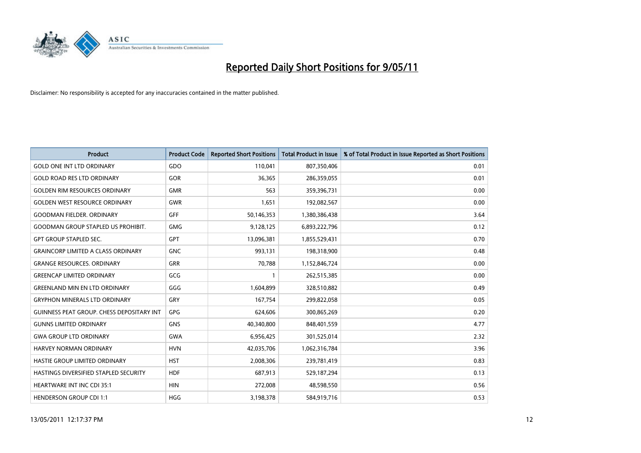

| <b>Product</b>                                   | <b>Product Code</b> | <b>Reported Short Positions</b> | <b>Total Product in Issue</b> | % of Total Product in Issue Reported as Short Positions |
|--------------------------------------------------|---------------------|---------------------------------|-------------------------------|---------------------------------------------------------|
| <b>GOLD ONE INT LTD ORDINARY</b>                 | GDO                 | 110,041                         | 807,350,406                   | 0.01                                                    |
| <b>GOLD ROAD RES LTD ORDINARY</b>                | GOR                 | 36,365                          | 286,359,055                   | 0.01                                                    |
| <b>GOLDEN RIM RESOURCES ORDINARY</b>             | <b>GMR</b>          | 563                             | 359,396,731                   | 0.00                                                    |
| <b>GOLDEN WEST RESOURCE ORDINARY</b>             | <b>GWR</b>          | 1,651                           | 192,082,567                   | 0.00                                                    |
| <b>GOODMAN FIELDER, ORDINARY</b>                 | GFF                 | 50,146,353                      | 1,380,386,438                 | 3.64                                                    |
| <b>GOODMAN GROUP STAPLED US PROHIBIT.</b>        | <b>GMG</b>          | 9,128,125                       | 6,893,222,796                 | 0.12                                                    |
| <b>GPT GROUP STAPLED SEC.</b>                    | <b>GPT</b>          | 13,096,381                      | 1,855,529,431                 | 0.70                                                    |
| <b>GRAINCORP LIMITED A CLASS ORDINARY</b>        | <b>GNC</b>          | 993,131                         | 198,318,900                   | 0.48                                                    |
| <b>GRANGE RESOURCES. ORDINARY</b>                | <b>GRR</b>          | 70,788                          | 1,152,846,724                 | 0.00                                                    |
| <b>GREENCAP LIMITED ORDINARY</b>                 | GCG                 |                                 | 262,515,385                   | 0.00                                                    |
| <b>GREENLAND MIN EN LTD ORDINARY</b>             | GGG                 | 1,604,899                       | 328,510,882                   | 0.49                                                    |
| <b>GRYPHON MINERALS LTD ORDINARY</b>             | GRY                 | 167,754                         | 299,822,058                   | 0.05                                                    |
| <b>GUINNESS PEAT GROUP. CHESS DEPOSITARY INT</b> | GPG                 | 624,606                         | 300,865,269                   | 0.20                                                    |
| <b>GUNNS LIMITED ORDINARY</b>                    | <b>GNS</b>          | 40,340,800                      | 848,401,559                   | 4.77                                                    |
| <b>GWA GROUP LTD ORDINARY</b>                    | <b>GWA</b>          | 6,956,425                       | 301,525,014                   | 2.32                                                    |
| HARVEY NORMAN ORDINARY                           | <b>HVN</b>          | 42,035,706                      | 1,062,316,784                 | 3.96                                                    |
| HASTIE GROUP LIMITED ORDINARY                    | <b>HST</b>          | 2,008,306                       | 239,781,419                   | 0.83                                                    |
| HASTINGS DIVERSIFIED STAPLED SECURITY            | <b>HDF</b>          | 687,913                         | 529,187,294                   | 0.13                                                    |
| <b>HEARTWARE INT INC CDI 35:1</b>                | <b>HIN</b>          | 272,008                         | 48,598,550                    | 0.56                                                    |
| <b>HENDERSON GROUP CDI 1:1</b>                   | <b>HGG</b>          | 3,198,378                       | 584,919,716                   | 0.53                                                    |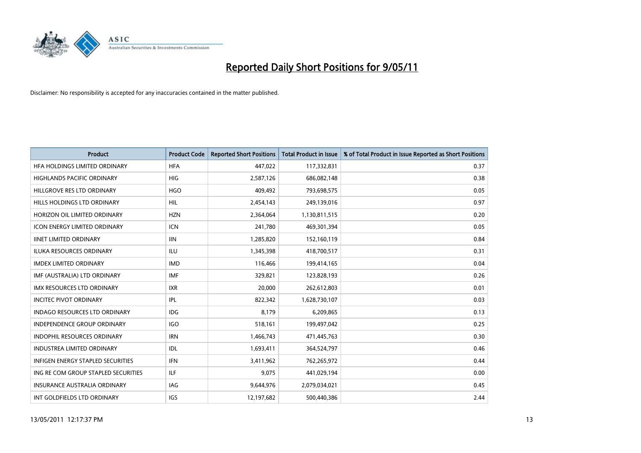

| <b>Product</b>                           | <b>Product Code</b> | <b>Reported Short Positions</b> | <b>Total Product in Issue</b> | % of Total Product in Issue Reported as Short Positions |
|------------------------------------------|---------------------|---------------------------------|-------------------------------|---------------------------------------------------------|
| HFA HOLDINGS LIMITED ORDINARY            | <b>HFA</b>          | 447,022                         | 117,332,831                   | 0.37                                                    |
| HIGHLANDS PACIFIC ORDINARY               | <b>HIG</b>          | 2,587,126                       | 686,082,148                   | 0.38                                                    |
| HILLGROVE RES LTD ORDINARY               | <b>HGO</b>          | 409,492                         | 793,698,575                   | 0.05                                                    |
| HILLS HOLDINGS LTD ORDINARY              | <b>HIL</b>          | 2,454,143                       | 249,139,016                   | 0.97                                                    |
| HORIZON OIL LIMITED ORDINARY             | <b>HZN</b>          | 2,364,064                       | 1,130,811,515                 | 0.20                                                    |
| <b>ICON ENERGY LIMITED ORDINARY</b>      | <b>ICN</b>          | 241,780                         | 469,301,394                   | 0.05                                                    |
| <b>IINET LIMITED ORDINARY</b>            | <b>IIN</b>          | 1,285,820                       | 152,160,119                   | 0.84                                                    |
| ILUKA RESOURCES ORDINARY                 | <b>ILU</b>          | 1,345,398                       | 418,700,517                   | 0.31                                                    |
| <b>IMDEX LIMITED ORDINARY</b>            | <b>IMD</b>          | 116,466                         | 199,414,165                   | 0.04                                                    |
| IMF (AUSTRALIA) LTD ORDINARY             | <b>IMF</b>          | 329,821                         | 123,828,193                   | 0.26                                                    |
| IMX RESOURCES LTD ORDINARY               | <b>IXR</b>          | 20,000                          | 262,612,803                   | 0.01                                                    |
| <b>INCITEC PIVOT ORDINARY</b>            | IPL                 | 822,342                         | 1,628,730,107                 | 0.03                                                    |
| <b>INDAGO RESOURCES LTD ORDINARY</b>     | IDG                 | 8,179                           | 6,209,865                     | 0.13                                                    |
| <b>INDEPENDENCE GROUP ORDINARY</b>       | <b>IGO</b>          | 518,161                         | 199,497,042                   | 0.25                                                    |
| <b>INDOPHIL RESOURCES ORDINARY</b>       | <b>IRN</b>          | 1,466,743                       | 471,445,763                   | 0.30                                                    |
| <b>INDUSTREA LIMITED ORDINARY</b>        | <b>IDL</b>          | 1,693,411                       | 364,524,797                   | 0.46                                                    |
| <b>INFIGEN ENERGY STAPLED SECURITIES</b> | <b>IFN</b>          | 3,411,962                       | 762,265,972                   | 0.44                                                    |
| ING RE COM GROUP STAPLED SECURITIES      | <b>ILF</b>          | 9,075                           | 441,029,194                   | 0.00                                                    |
| INSURANCE AUSTRALIA ORDINARY             | IAG                 | 9,644,976                       | 2,079,034,021                 | 0.45                                                    |
| INT GOLDFIELDS LTD ORDINARY              | <b>IGS</b>          | 12,197,682                      | 500,440,386                   | 2.44                                                    |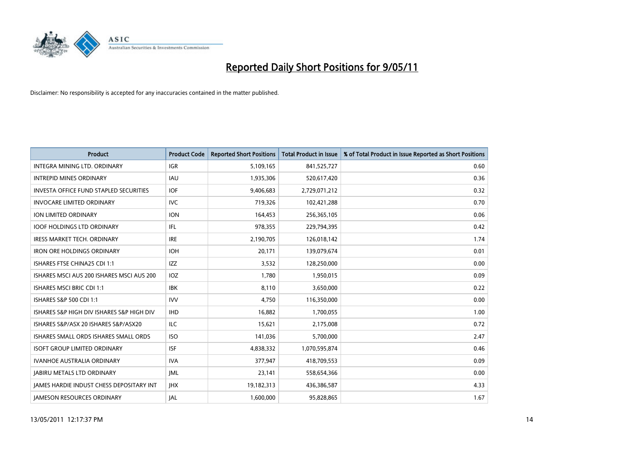

| <b>Product</b>                                  | <b>Product Code</b> | <b>Reported Short Positions</b> | <b>Total Product in Issue</b> | % of Total Product in Issue Reported as Short Positions |
|-------------------------------------------------|---------------------|---------------------------------|-------------------------------|---------------------------------------------------------|
| INTEGRA MINING LTD, ORDINARY                    | <b>IGR</b>          | 5,109,165                       | 841,525,727                   | 0.60                                                    |
| <b>INTREPID MINES ORDINARY</b>                  | <b>IAU</b>          | 1,935,306                       | 520,617,420                   | 0.36                                                    |
| <b>INVESTA OFFICE FUND STAPLED SECURITIES</b>   | <b>IOF</b>          | 9,406,683                       | 2,729,071,212                 | 0.32                                                    |
| <b>INVOCARE LIMITED ORDINARY</b>                | <b>IVC</b>          | 719,326                         | 102,421,288                   | 0.70                                                    |
| <b>ION LIMITED ORDINARY</b>                     | <b>ION</b>          | 164,453                         | 256,365,105                   | 0.06                                                    |
| <b>IOOF HOLDINGS LTD ORDINARY</b>               | IFL                 | 978,355                         | 229,794,395                   | 0.42                                                    |
| <b>IRESS MARKET TECH. ORDINARY</b>              | <b>IRE</b>          | 2,190,705                       | 126,018,142                   | 1.74                                                    |
| <b>IRON ORE HOLDINGS ORDINARY</b>               | <b>IOH</b>          | 20,171                          | 139,079,674                   | 0.01                                                    |
| ISHARES FTSE CHINA25 CDI 1:1                    | <b>IZZ</b>          | 3,532                           | 128,250,000                   | 0.00                                                    |
| ISHARES MSCI AUS 200 ISHARES MSCI AUS 200       | IOZ                 | 1,780                           | 1,950,015                     | 0.09                                                    |
| <b>ISHARES MSCI BRIC CDI 1:1</b>                | <b>IBK</b>          | 8,110                           | 3,650,000                     | 0.22                                                    |
| ISHARES S&P 500 CDI 1:1                         | <b>IVV</b>          | 4,750                           | 116,350,000                   | 0.00                                                    |
| ISHARES S&P HIGH DIV ISHARES S&P HIGH DIV       | <b>IHD</b>          | 16.882                          | 1,700,055                     | 1.00                                                    |
| ISHARES S&P/ASX 20 ISHARES S&P/ASX20            | <b>ILC</b>          | 15,621                          | 2,175,008                     | 0.72                                                    |
| ISHARES SMALL ORDS ISHARES SMALL ORDS           | <b>ISO</b>          | 141,036                         | 5,700,000                     | 2.47                                                    |
| <b>ISOFT GROUP LIMITED ORDINARY</b>             | <b>ISF</b>          | 4,838,332                       | 1,070,595,874                 | 0.46                                                    |
| <b>IVANHOE AUSTRALIA ORDINARY</b>               | <b>IVA</b>          | 377,947                         | 418,709,553                   | 0.09                                                    |
| <b>JABIRU METALS LTD ORDINARY</b>               | <b>JML</b>          | 23,141                          | 558,654,366                   | 0.00                                                    |
| <b>IAMES HARDIE INDUST CHESS DEPOSITARY INT</b> | <b>IHX</b>          | 19,182,313                      | 436,386,587                   | 4.33                                                    |
| <b>JAMESON RESOURCES ORDINARY</b>               | IAL                 | 1,600,000                       | 95,828,865                    | 1.67                                                    |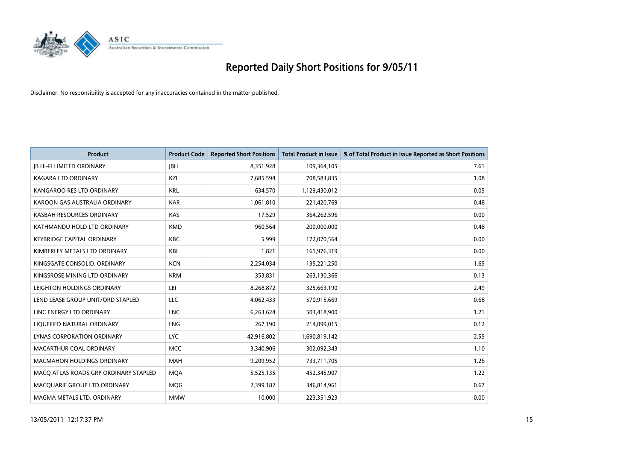

| <b>Product</b>                        | <b>Product Code</b> | <b>Reported Short Positions</b> | <b>Total Product in Issue</b> | % of Total Product in Issue Reported as Short Positions |
|---------------------------------------|---------------------|---------------------------------|-------------------------------|---------------------------------------------------------|
| <b>JB HI-FI LIMITED ORDINARY</b>      | <b>JBH</b>          | 8,351,928                       | 109,364,105                   | 7.61                                                    |
| KAGARA LTD ORDINARY                   | KZL                 | 7,685,594                       | 708,583,835                   | 1.08                                                    |
| KANGAROO RES LTD ORDINARY             | <b>KRL</b>          | 634,570                         | 1,129,430,012                 | 0.05                                                    |
| KAROON GAS AUSTRALIA ORDINARY         | <b>KAR</b>          | 1,061,810                       | 221,420,769                   | 0.48                                                    |
| KASBAH RESOURCES ORDINARY             | KAS                 | 17,529                          | 364,262,596                   | 0.00                                                    |
| KATHMANDU HOLD LTD ORDINARY           | <b>KMD</b>          | 960,564                         | 200,000,000                   | 0.48                                                    |
| <b>KEYBRIDGE CAPITAL ORDINARY</b>     | <b>KBC</b>          | 5.999                           | 172,070,564                   | 0.00                                                    |
| KIMBERLEY METALS LTD ORDINARY         | <b>KBL</b>          | 1,821                           | 161,976,319                   | 0.00                                                    |
| KINGSGATE CONSOLID. ORDINARY          | <b>KCN</b>          | 2,254,034                       | 135,221,250                   | 1.65                                                    |
| KINGSROSE MINING LTD ORDINARY         | <b>KRM</b>          | 353,831                         | 263,130,366                   | 0.13                                                    |
| LEIGHTON HOLDINGS ORDINARY            | LEI                 | 8,268,872                       | 325,663,190                   | 2.49                                                    |
| LEND LEASE GROUP UNIT/ORD STAPLED     | LLC                 | 4,062,433                       | 570,915,669                   | 0.68                                                    |
| LINC ENERGY LTD ORDINARY              | <b>LNC</b>          | 6,263,624                       | 503,418,900                   | 1.21                                                    |
| LIQUEFIED NATURAL ORDINARY            | LNG                 | 267,190                         | 214,099,015                   | 0.12                                                    |
| LYNAS CORPORATION ORDINARY            | <b>LYC</b>          | 42,916,802                      | 1,690,819,142                 | 2.55                                                    |
| MACARTHUR COAL ORDINARY               | <b>MCC</b>          | 3,340,906                       | 302,092,343                   | 1.10                                                    |
| <b>MACMAHON HOLDINGS ORDINARY</b>     | <b>MAH</b>          | 9,209,952                       | 733,711,705                   | 1.26                                                    |
| MACQ ATLAS ROADS GRP ORDINARY STAPLED | <b>MOA</b>          | 5,525,135                       | 452,345,907                   | 1.22                                                    |
| MACOUARIE GROUP LTD ORDINARY          | MQG                 | 2,399,182                       | 346,814,961                   | 0.67                                                    |
| MAGMA METALS LTD. ORDINARY            | <b>MMW</b>          | 10,000                          | 223,351,923                   | 0.00                                                    |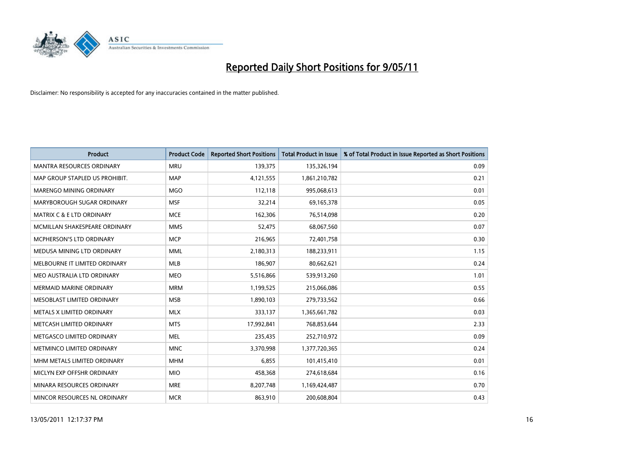

| <b>Product</b>                       | <b>Product Code</b> | <b>Reported Short Positions</b> | <b>Total Product in Issue</b> | % of Total Product in Issue Reported as Short Positions |
|--------------------------------------|---------------------|---------------------------------|-------------------------------|---------------------------------------------------------|
| <b>MANTRA RESOURCES ORDINARY</b>     | <b>MRU</b>          | 139,375                         | 135,326,194                   | 0.09                                                    |
| MAP GROUP STAPLED US PROHIBIT.       | <b>MAP</b>          | 4,121,555                       | 1,861,210,782                 | 0.21                                                    |
| MARENGO MINING ORDINARY              | <b>MGO</b>          | 112,118                         | 995,068,613                   | 0.01                                                    |
| MARYBOROUGH SUGAR ORDINARY           | <b>MSF</b>          | 32,214                          | 69,165,378                    | 0.05                                                    |
| <b>MATRIX C &amp; E LTD ORDINARY</b> | <b>MCE</b>          | 162,306                         | 76,514,098                    | 0.20                                                    |
| MCMILLAN SHAKESPEARE ORDINARY        | <b>MMS</b>          | 52,475                          | 68,067,560                    | 0.07                                                    |
| MCPHERSON'S LTD ORDINARY             | <b>MCP</b>          | 216,965                         | 72,401,758                    | 0.30                                                    |
| MEDUSA MINING LTD ORDINARY           | <b>MML</b>          | 2,180,313                       | 188,233,911                   | 1.15                                                    |
| MELBOURNE IT LIMITED ORDINARY        | <b>MLB</b>          | 186,907                         | 80,662,621                    | 0.24                                                    |
| MEO AUSTRALIA LTD ORDINARY           | <b>MEO</b>          | 5,516,866                       | 539,913,260                   | 1.01                                                    |
| <b>MERMAID MARINE ORDINARY</b>       | <b>MRM</b>          | 1,199,525                       | 215,066,086                   | 0.55                                                    |
| MESOBLAST LIMITED ORDINARY           | <b>MSB</b>          | 1,890,103                       | 279,733,562                   | 0.66                                                    |
| METALS X LIMITED ORDINARY            | <b>MLX</b>          | 333,137                         | 1,365,661,782                 | 0.03                                                    |
| METCASH LIMITED ORDINARY             | <b>MTS</b>          | 17,992,841                      | 768,853,644                   | 2.33                                                    |
| METGASCO LIMITED ORDINARY            | <b>MEL</b>          | 235,435                         | 252,710,972                   | 0.09                                                    |
| METMINCO LIMITED ORDINARY            | <b>MNC</b>          | 3,370,998                       | 1,377,720,365                 | 0.24                                                    |
| MHM METALS LIMITED ORDINARY          | <b>MHM</b>          | 6,855                           | 101,415,410                   | 0.01                                                    |
| MICLYN EXP OFFSHR ORDINARY           | <b>MIO</b>          | 458,368                         | 274,618,684                   | 0.16                                                    |
| MINARA RESOURCES ORDINARY            | <b>MRE</b>          | 8,207,748                       | 1,169,424,487                 | 0.70                                                    |
| MINCOR RESOURCES NL ORDINARY         | <b>MCR</b>          | 863,910                         | 200,608,804                   | 0.43                                                    |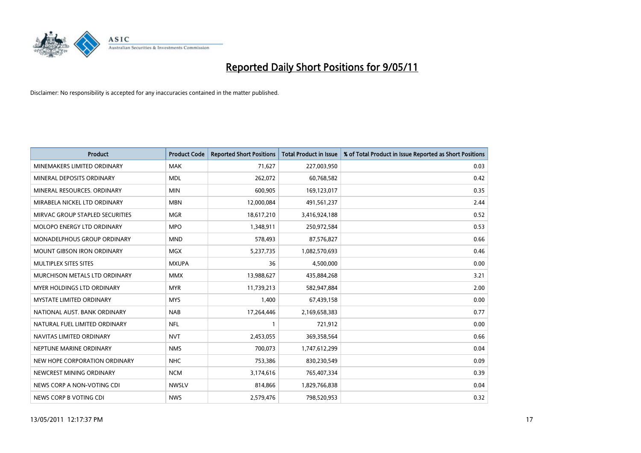

| <b>Product</b>                     | <b>Product Code</b> | <b>Reported Short Positions</b> | Total Product in Issue | % of Total Product in Issue Reported as Short Positions |
|------------------------------------|---------------------|---------------------------------|------------------------|---------------------------------------------------------|
| MINEMAKERS LIMITED ORDINARY        | <b>MAK</b>          | 71,627                          | 227,003,950            | 0.03                                                    |
| MINERAL DEPOSITS ORDINARY          | <b>MDL</b>          | 262,072                         | 60,768,582             | 0.42                                                    |
| MINERAL RESOURCES, ORDINARY        | <b>MIN</b>          | 600,905                         | 169,123,017            | 0.35                                                    |
| MIRABELA NICKEL LTD ORDINARY       | <b>MBN</b>          | 12,000,084                      | 491,561,237            | 2.44                                                    |
| MIRVAC GROUP STAPLED SECURITIES    | <b>MGR</b>          | 18,617,210                      | 3,416,924,188          | 0.52                                                    |
| MOLOPO ENERGY LTD ORDINARY         | <b>MPO</b>          | 1,348,911                       | 250,972,584            | 0.53                                                    |
| <b>MONADELPHOUS GROUP ORDINARY</b> | <b>MND</b>          | 578,493                         | 87,576,827             | 0.66                                                    |
| MOUNT GIBSON IRON ORDINARY         | <b>MGX</b>          | 5,237,735                       | 1,082,570,693          | 0.46                                                    |
| MULTIPLEX SITES SITES              | <b>MXUPA</b>        | 36                              | 4,500,000              | 0.00                                                    |
| MURCHISON METALS LTD ORDINARY      | <b>MMX</b>          | 13,988,627                      | 435,884,268            | 3.21                                                    |
| MYER HOLDINGS LTD ORDINARY         | <b>MYR</b>          | 11,739,213                      | 582,947,884            | 2.00                                                    |
| <b>MYSTATE LIMITED ORDINARY</b>    | <b>MYS</b>          | 1,400                           | 67,439,158             | 0.00                                                    |
| NATIONAL AUST. BANK ORDINARY       | <b>NAB</b>          | 17,264,446                      | 2,169,658,383          | 0.77                                                    |
| NATURAL FUEL LIMITED ORDINARY      | <b>NFL</b>          |                                 | 721,912                | 0.00                                                    |
| NAVITAS LIMITED ORDINARY           | <b>NVT</b>          | 2,453,055                       | 369,358,564            | 0.66                                                    |
| NEPTUNE MARINE ORDINARY            | <b>NMS</b>          | 700,073                         | 1,747,612,299          | 0.04                                                    |
| NEW HOPE CORPORATION ORDINARY      | <b>NHC</b>          | 753,386                         | 830,230,549            | 0.09                                                    |
| NEWCREST MINING ORDINARY           | <b>NCM</b>          | 3,174,616                       | 765,407,334            | 0.39                                                    |
| NEWS CORP A NON-VOTING CDI         | <b>NWSLV</b>        | 814,866                         | 1,829,766,838          | 0.04                                                    |
| NEWS CORP B VOTING CDI             | <b>NWS</b>          | 2,579,476                       | 798,520,953            | 0.32                                                    |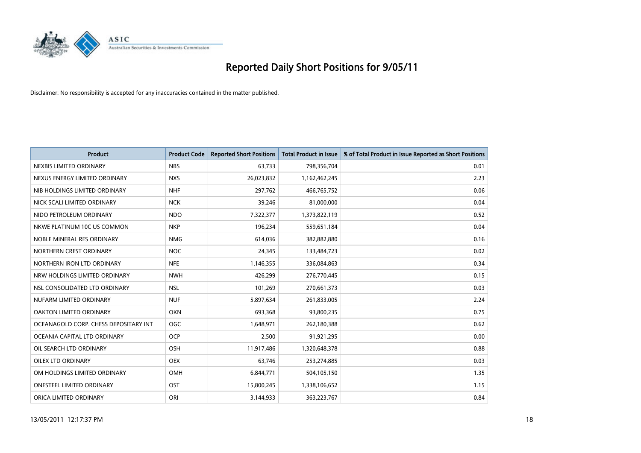

| <b>Product</b>                        | <b>Product Code</b> | <b>Reported Short Positions</b> | Total Product in Issue | % of Total Product in Issue Reported as Short Positions |
|---------------------------------------|---------------------|---------------------------------|------------------------|---------------------------------------------------------|
| NEXBIS LIMITED ORDINARY               | <b>NBS</b>          | 63,733                          | 798,356,704            | 0.01                                                    |
| NEXUS ENERGY LIMITED ORDINARY         | <b>NXS</b>          | 26,023,832                      | 1,162,462,245          | 2.23                                                    |
| NIB HOLDINGS LIMITED ORDINARY         | <b>NHF</b>          | 297,762                         | 466,765,752            | 0.06                                                    |
| NICK SCALI LIMITED ORDINARY           | <b>NCK</b>          | 39,246                          | 81,000,000             | 0.04                                                    |
| NIDO PETROLEUM ORDINARY               | <b>NDO</b>          | 7,322,377                       | 1,373,822,119          | 0.52                                                    |
| NKWE PLATINUM 10C US COMMON           | <b>NKP</b>          | 196,234                         | 559,651,184            | 0.04                                                    |
| NOBLE MINERAL RES ORDINARY            | <b>NMG</b>          | 614.036                         | 382,882,880            | 0.16                                                    |
| NORTHERN CREST ORDINARY               | <b>NOC</b>          | 24,345                          | 133,484,723            | 0.02                                                    |
| NORTHERN IRON LTD ORDINARY            | <b>NFE</b>          | 1,146,355                       | 336,084,863            | 0.34                                                    |
| NRW HOLDINGS LIMITED ORDINARY         | <b>NWH</b>          | 426,299                         | 276,770,445            | 0.15                                                    |
| NSL CONSOLIDATED LTD ORDINARY         | <b>NSL</b>          | 101,269                         | 270,661,373            | 0.03                                                    |
| NUFARM LIMITED ORDINARY               | <b>NUF</b>          | 5,897,634                       | 261,833,005            | 2.24                                                    |
| <b>OAKTON LIMITED ORDINARY</b>        | <b>OKN</b>          | 693,368                         | 93,800,235             | 0.75                                                    |
| OCEANAGOLD CORP. CHESS DEPOSITARY INT | <b>OGC</b>          | 1,648,971                       | 262,180,388            | 0.62                                                    |
| OCEANIA CAPITAL LTD ORDINARY          | <b>OCP</b>          | 2,500                           | 91,921,295             | 0.00                                                    |
| OIL SEARCH LTD ORDINARY               | <b>OSH</b>          | 11,917,486                      | 1,320,648,378          | 0.88                                                    |
| <b>OILEX LTD ORDINARY</b>             | <b>OEX</b>          | 63,746                          | 253,274,885            | 0.03                                                    |
| OM HOLDINGS LIMITED ORDINARY          | <b>OMH</b>          | 6,844,771                       | 504,105,150            | 1.35                                                    |
| <b>ONESTEEL LIMITED ORDINARY</b>      | OST                 | 15,800,245                      | 1,338,106,652          | 1.15                                                    |
| ORICA LIMITED ORDINARY                | ORI                 | 3,144,933                       | 363,223,767            | 0.84                                                    |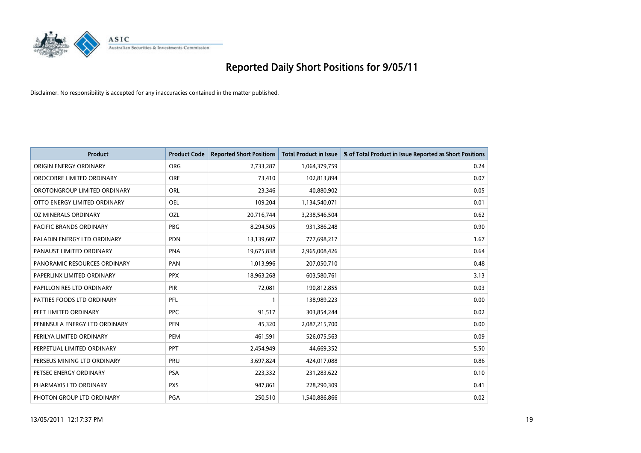

| <b>Product</b>                 | <b>Product Code</b> | <b>Reported Short Positions</b> | Total Product in Issue | % of Total Product in Issue Reported as Short Positions |
|--------------------------------|---------------------|---------------------------------|------------------------|---------------------------------------------------------|
| ORIGIN ENERGY ORDINARY         | <b>ORG</b>          | 2,733,287                       | 1,064,379,759          | 0.24                                                    |
| OROCOBRE LIMITED ORDINARY      | <b>ORE</b>          | 73,410                          | 102,813,894            | 0.07                                                    |
| OROTONGROUP LIMITED ORDINARY   | ORL                 | 23,346                          | 40,880,902             | 0.05                                                    |
| OTTO ENERGY LIMITED ORDINARY   | OEL                 | 109,204                         | 1,134,540,071          | 0.01                                                    |
| OZ MINERALS ORDINARY           | <b>OZL</b>          | 20,716,744                      | 3,238,546,504          | 0.62                                                    |
| <b>PACIFIC BRANDS ORDINARY</b> | <b>PBG</b>          | 8,294,505                       | 931,386,248            | 0.90                                                    |
| PALADIN ENERGY LTD ORDINARY    | <b>PDN</b>          | 13,139,607                      | 777,698,217            | 1.67                                                    |
| PANAUST LIMITED ORDINARY       | <b>PNA</b>          | 19,675,838                      | 2,965,008,426          | 0.64                                                    |
| PANORAMIC RESOURCES ORDINARY   | PAN                 | 1,013,996                       | 207,050,710            | 0.48                                                    |
| PAPERLINX LIMITED ORDINARY     | <b>PPX</b>          | 18,963,268                      | 603,580,761            | 3.13                                                    |
| PAPILLON RES LTD ORDINARY      | PIR                 | 72,081                          | 190,812,855            | 0.03                                                    |
| PATTIES FOODS LTD ORDINARY     | PFL                 |                                 | 138,989,223            | 0.00                                                    |
| PEET LIMITED ORDINARY          | <b>PPC</b>          | 91,517                          | 303,854,244            | 0.02                                                    |
| PENINSULA ENERGY LTD ORDINARY  | <b>PEN</b>          | 45,320                          | 2,087,215,700          | 0.00                                                    |
| PERILYA LIMITED ORDINARY       | PEM                 | 461,591                         | 526,075,563            | 0.09                                                    |
| PERPETUAL LIMITED ORDINARY     | PPT                 | 2,454,949                       | 44,669,352             | 5.50                                                    |
| PERSEUS MINING LTD ORDINARY    | PRU                 | 3,697,824                       | 424,017,088            | 0.86                                                    |
| PETSEC ENERGY ORDINARY         | <b>PSA</b>          | 223,332                         | 231,283,622            | 0.10                                                    |
| PHARMAXIS LTD ORDINARY         | <b>PXS</b>          | 947,861                         | 228,290,309            | 0.41                                                    |
| PHOTON GROUP LTD ORDINARY      | <b>PGA</b>          | 250,510                         | 1,540,886,866          | 0.02                                                    |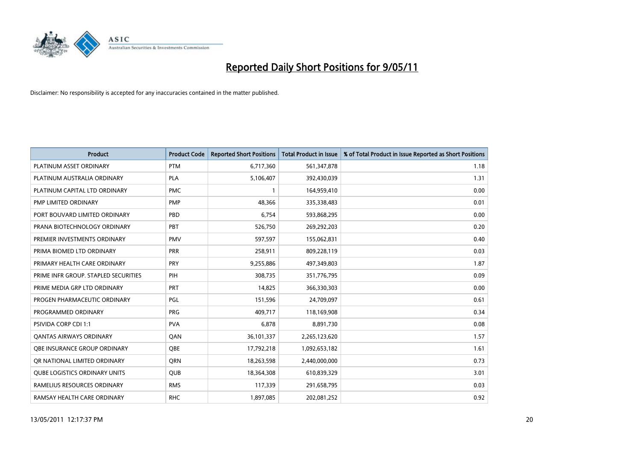

| <b>Product</b>                       | <b>Product Code</b> | <b>Reported Short Positions</b> | Total Product in Issue | % of Total Product in Issue Reported as Short Positions |
|--------------------------------------|---------------------|---------------------------------|------------------------|---------------------------------------------------------|
| PLATINUM ASSET ORDINARY              | <b>PTM</b>          | 6,717,360                       | 561,347,878            | 1.18                                                    |
| PLATINUM AUSTRALIA ORDINARY          | <b>PLA</b>          | 5,106,407                       | 392,430,039            | 1.31                                                    |
| PLATINUM CAPITAL LTD ORDINARY        | <b>PMC</b>          |                                 | 164,959,410            | 0.00                                                    |
| PMP LIMITED ORDINARY                 | <b>PMP</b>          | 48,366                          | 335,338,483            | 0.01                                                    |
| PORT BOUVARD LIMITED ORDINARY        | PBD                 | 6,754                           | 593,868,295            | 0.00                                                    |
| PRANA BIOTECHNOLOGY ORDINARY         | PBT                 | 526,750                         | 269,292,203            | 0.20                                                    |
| PREMIER INVESTMENTS ORDINARY         | <b>PMV</b>          | 597,597                         | 155,062,831            | 0.40                                                    |
| PRIMA BIOMED LTD ORDINARY            | <b>PRR</b>          | 258,911                         | 809,228,119            | 0.03                                                    |
| PRIMARY HEALTH CARE ORDINARY         | <b>PRY</b>          | 9,255,886                       | 497,349,803            | 1.87                                                    |
| PRIME INFR GROUP. STAPLED SECURITIES | PIH                 | 308,735                         | 351,776,795            | 0.09                                                    |
| PRIME MEDIA GRP LTD ORDINARY         | <b>PRT</b>          | 14,825                          | 366,330,303            | 0.00                                                    |
| PROGEN PHARMACEUTIC ORDINARY         | <b>PGL</b>          | 151,596                         | 24,709,097             | 0.61                                                    |
| PROGRAMMED ORDINARY                  | <b>PRG</b>          | 409,717                         | 118,169,908            | 0.34                                                    |
| <b>PSIVIDA CORP CDI 1:1</b>          | <b>PVA</b>          | 6,878                           | 8,891,730              | 0.08                                                    |
| <b>QANTAS AIRWAYS ORDINARY</b>       | QAN                 | 36,101,337                      | 2,265,123,620          | 1.57                                                    |
| OBE INSURANCE GROUP ORDINARY         | OBE                 | 17,792,218                      | 1,092,653,182          | 1.61                                                    |
| OR NATIONAL LIMITED ORDINARY         | <b>ORN</b>          | 18,263,598                      | 2,440,000,000          | 0.73                                                    |
| <b>QUBE LOGISTICS ORDINARY UNITS</b> | QUB                 | 18,364,308                      | 610,839,329            | 3.01                                                    |
| RAMELIUS RESOURCES ORDINARY          | <b>RMS</b>          | 117,339                         | 291,658,795            | 0.03                                                    |
| RAMSAY HEALTH CARE ORDINARY          | <b>RHC</b>          | 1,897,085                       | 202,081,252            | 0.92                                                    |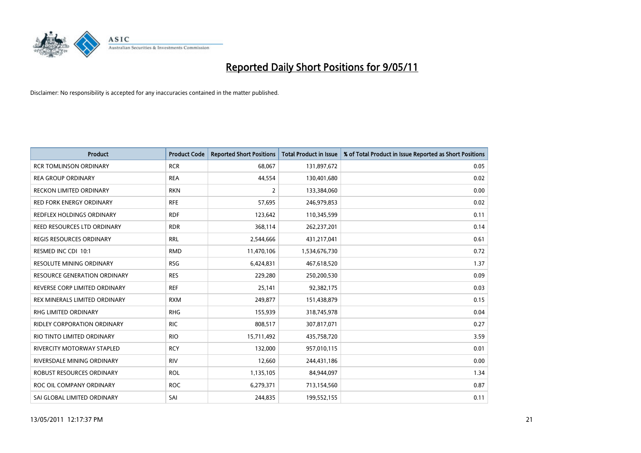

| Product                             | <b>Product Code</b> | <b>Reported Short Positions</b> | Total Product in Issue | % of Total Product in Issue Reported as Short Positions |
|-------------------------------------|---------------------|---------------------------------|------------------------|---------------------------------------------------------|
| <b>RCR TOMLINSON ORDINARY</b>       | <b>RCR</b>          | 68,067                          | 131,897,672            | 0.05                                                    |
| <b>REA GROUP ORDINARY</b>           | <b>REA</b>          | 44,554                          | 130,401,680            | 0.02                                                    |
| <b>RECKON LIMITED ORDINARY</b>      | <b>RKN</b>          | $\overline{2}$                  | 133,384,060            | 0.00                                                    |
| RED FORK ENERGY ORDINARY            | <b>RFE</b>          | 57,695                          | 246,979,853            | 0.02                                                    |
| REDFLEX HOLDINGS ORDINARY           | <b>RDF</b>          | 123,642                         | 110,345,599            | 0.11                                                    |
| REED RESOURCES LTD ORDINARY         | <b>RDR</b>          | 368,114                         | 262,237,201            | 0.14                                                    |
| <b>REGIS RESOURCES ORDINARY</b>     | <b>RRL</b>          | 2,544,666                       | 431,217,041            | 0.61                                                    |
| RESMED INC CDI 10:1                 | <b>RMD</b>          | 11,470,106                      | 1,534,676,730          | 0.72                                                    |
| <b>RESOLUTE MINING ORDINARY</b>     | <b>RSG</b>          | 6,424,831                       | 467,618,520            | 1.37                                                    |
| <b>RESOURCE GENERATION ORDINARY</b> | <b>RES</b>          | 229,280                         | 250,200,530            | 0.09                                                    |
| REVERSE CORP LIMITED ORDINARY       | <b>REF</b>          | 25,141                          | 92,382,175             | 0.03                                                    |
| REX MINERALS LIMITED ORDINARY       | <b>RXM</b>          | 249,877                         | 151,438,879            | 0.15                                                    |
| RHG LIMITED ORDINARY                | <b>RHG</b>          | 155,939                         | 318,745,978            | 0.04                                                    |
| <b>RIDLEY CORPORATION ORDINARY</b>  | <b>RIC</b>          | 808,517                         | 307,817,071            | 0.27                                                    |
| RIO TINTO LIMITED ORDINARY          | <b>RIO</b>          | 15,711,492                      | 435,758,720            | 3.59                                                    |
| RIVERCITY MOTORWAY STAPLED          | <b>RCY</b>          | 132,000                         | 957,010,115            | 0.01                                                    |
| RIVERSDALE MINING ORDINARY          | <b>RIV</b>          | 12,660                          | 244,431,186            | 0.00                                                    |
| ROBUST RESOURCES ORDINARY           | <b>ROL</b>          | 1,135,105                       | 84,944,097             | 1.34                                                    |
| ROC OIL COMPANY ORDINARY            | <b>ROC</b>          | 6,279,371                       | 713,154,560            | 0.87                                                    |
| SAI GLOBAL LIMITED ORDINARY         | SAI                 | 244,835                         | 199,552,155            | 0.11                                                    |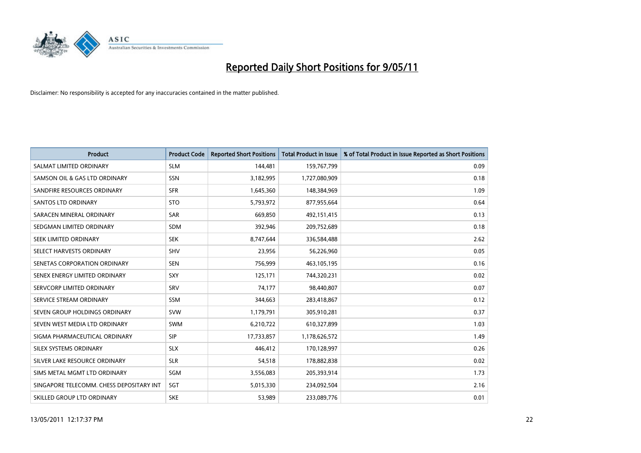

| <b>Product</b>                           | <b>Product Code</b> | <b>Reported Short Positions</b> | <b>Total Product in Issue</b> | % of Total Product in Issue Reported as Short Positions |
|------------------------------------------|---------------------|---------------------------------|-------------------------------|---------------------------------------------------------|
| SALMAT LIMITED ORDINARY                  | <b>SLM</b>          | 144,481                         | 159,767,799                   | 0.09                                                    |
| SAMSON OIL & GAS LTD ORDINARY            | SSN                 | 3,182,995                       | 1,727,080,909                 | 0.18                                                    |
| SANDFIRE RESOURCES ORDINARY              | <b>SFR</b>          | 1,645,360                       | 148,384,969                   | 1.09                                                    |
| <b>SANTOS LTD ORDINARY</b>               | <b>STO</b>          | 5,793,972                       | 877,955,664                   | 0.64                                                    |
| SARACEN MINERAL ORDINARY                 | <b>SAR</b>          | 669.850                         | 492,151,415                   | 0.13                                                    |
| SEDGMAN LIMITED ORDINARY                 | <b>SDM</b>          | 392,946                         | 209,752,689                   | 0.18                                                    |
| SEEK LIMITED ORDINARY                    | <b>SEK</b>          | 8,747,644                       | 336,584,488                   | 2.62                                                    |
| SELECT HARVESTS ORDINARY                 | SHV                 | 23,956                          | 56,226,960                    | 0.05                                                    |
| SENETAS CORPORATION ORDINARY             | <b>SEN</b>          | 756,999                         | 463,105,195                   | 0.16                                                    |
| SENEX ENERGY LIMITED ORDINARY            | <b>SXY</b>          | 125,171                         | 744,320,231                   | 0.02                                                    |
| SERVCORP LIMITED ORDINARY                | SRV                 | 74,177                          | 98,440,807                    | 0.07                                                    |
| SERVICE STREAM ORDINARY                  | <b>SSM</b>          | 344,663                         | 283,418,867                   | 0.12                                                    |
| SEVEN GROUP HOLDINGS ORDINARY            | <b>SVW</b>          | 1,179,791                       | 305,910,281                   | 0.37                                                    |
| SEVEN WEST MEDIA LTD ORDINARY            | <b>SWM</b>          | 6,210,722                       | 610,327,899                   | 1.03                                                    |
| SIGMA PHARMACEUTICAL ORDINARY            | SIP                 | 17,733,857                      | 1,178,626,572                 | 1.49                                                    |
| SILEX SYSTEMS ORDINARY                   | <b>SLX</b>          | 446,412                         | 170,128,997                   | 0.26                                                    |
| SILVER LAKE RESOURCE ORDINARY            | <b>SLR</b>          | 54,518                          | 178,882,838                   | 0.02                                                    |
| SIMS METAL MGMT LTD ORDINARY             | SGM                 | 3,556,083                       | 205,393,914                   | 1.73                                                    |
| SINGAPORE TELECOMM. CHESS DEPOSITARY INT | SGT                 | 5,015,330                       | 234,092,504                   | 2.16                                                    |
| SKILLED GROUP LTD ORDINARY               | <b>SKE</b>          | 53,989                          | 233,089,776                   | 0.01                                                    |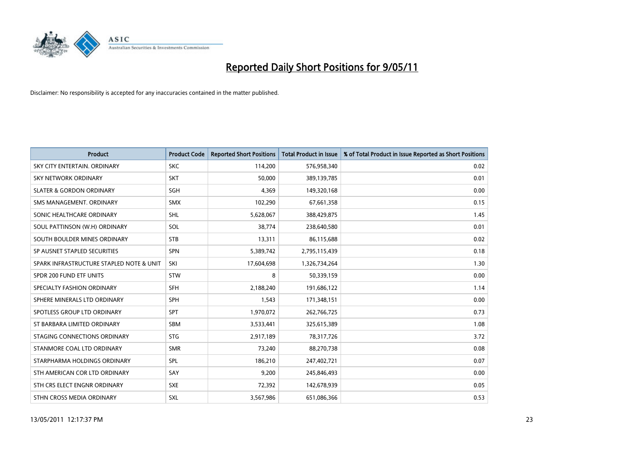

| <b>Product</b>                           | <b>Product Code</b> | <b>Reported Short Positions</b> | <b>Total Product in Issue</b> | % of Total Product in Issue Reported as Short Positions |
|------------------------------------------|---------------------|---------------------------------|-------------------------------|---------------------------------------------------------|
| SKY CITY ENTERTAIN, ORDINARY             | <b>SKC</b>          | 114,200                         | 576,958,340                   | 0.02                                                    |
| <b>SKY NETWORK ORDINARY</b>              | <b>SKT</b>          | 50,000                          | 389,139,785                   | 0.01                                                    |
| <b>SLATER &amp; GORDON ORDINARY</b>      | <b>SGH</b>          | 4,369                           | 149,320,168                   | 0.00                                                    |
| SMS MANAGEMENT. ORDINARY                 | <b>SMX</b>          | 102,290                         | 67,661,358                    | 0.15                                                    |
| SONIC HEALTHCARE ORDINARY                | <b>SHL</b>          | 5,628,067                       | 388,429,875                   | 1.45                                                    |
| SOUL PATTINSON (W.H) ORDINARY            | SOL                 | 38,774                          | 238,640,580                   | 0.01                                                    |
| SOUTH BOULDER MINES ORDINARY             | <b>STB</b>          | 13,311                          | 86,115,688                    | 0.02                                                    |
| SP AUSNET STAPLED SECURITIES             | <b>SPN</b>          | 5,389,742                       | 2,795,115,439                 | 0.18                                                    |
| SPARK INFRASTRUCTURE STAPLED NOTE & UNIT | SKI                 | 17,604,698                      | 1,326,734,264                 | 1.30                                                    |
| SPDR 200 FUND ETF UNITS                  | <b>STW</b>          | 8                               | 50,339,159                    | 0.00                                                    |
| SPECIALTY FASHION ORDINARY               | <b>SFH</b>          | 2,188,240                       | 191,686,122                   | 1.14                                                    |
| SPHERE MINERALS LTD ORDINARY             | <b>SPH</b>          | 1,543                           | 171,348,151                   | 0.00                                                    |
| SPOTLESS GROUP LTD ORDINARY              | <b>SPT</b>          | 1,970,072                       | 262,766,725                   | 0.73                                                    |
| ST BARBARA LIMITED ORDINARY              | <b>SBM</b>          | 3,533,441                       | 325,615,389                   | 1.08                                                    |
| STAGING CONNECTIONS ORDINARY             | <b>STG</b>          | 2,917,189                       | 78,317,726                    | 3.72                                                    |
| STANMORE COAL LTD ORDINARY               | <b>SMR</b>          | 73,240                          | 88,270,738                    | 0.08                                                    |
| STARPHARMA HOLDINGS ORDINARY             | SPL                 | 186,210                         | 247,402,721                   | 0.07                                                    |
| STH AMERICAN COR LTD ORDINARY            | SAY                 | 9,200                           | 245,846,493                   | 0.00                                                    |
| STH CRS ELECT ENGNR ORDINARY             | <b>SXE</b>          | 72,392                          | 142,678,939                   | 0.05                                                    |
| STHN CROSS MEDIA ORDINARY                | <b>SXL</b>          | 3,567,986                       | 651,086,366                   | 0.53                                                    |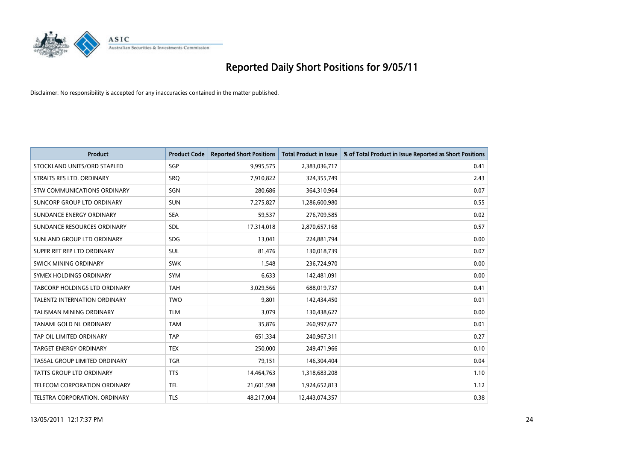

| <b>Product</b>                      | <b>Product Code</b> | <b>Reported Short Positions</b> | <b>Total Product in Issue</b> | % of Total Product in Issue Reported as Short Positions |
|-------------------------------------|---------------------|---------------------------------|-------------------------------|---------------------------------------------------------|
| STOCKLAND UNITS/ORD STAPLED         | <b>SGP</b>          | 9,995,575                       | 2,383,036,717                 | 0.41                                                    |
| STRAITS RES LTD. ORDINARY           | SRO                 | 7,910,822                       | 324,355,749                   | 2.43                                                    |
| <b>STW COMMUNICATIONS ORDINARY</b>  | SGN                 | 280,686                         | 364,310,964                   | 0.07                                                    |
| SUNCORP GROUP LTD ORDINARY          | <b>SUN</b>          | 7,275,827                       | 1,286,600,980                 | 0.55                                                    |
| SUNDANCE ENERGY ORDINARY            | <b>SEA</b>          | 59,537                          | 276,709,585                   | 0.02                                                    |
| SUNDANCE RESOURCES ORDINARY         | <b>SDL</b>          | 17,314,018                      | 2,870,657,168                 | 0.57                                                    |
| SUNLAND GROUP LTD ORDINARY          | <b>SDG</b>          | 13,041                          | 224,881,794                   | 0.00                                                    |
| SUPER RET REP LTD ORDINARY          | <b>SUL</b>          | 81,476                          | 130,018,739                   | 0.07                                                    |
| SWICK MINING ORDINARY               | <b>SWK</b>          | 1,548                           | 236,724,970                   | 0.00                                                    |
| SYMEX HOLDINGS ORDINARY             | <b>SYM</b>          | 6,633                           | 142,481,091                   | 0.00                                                    |
| TABCORP HOLDINGS LTD ORDINARY       | <b>TAH</b>          | 3,029,566                       | 688,019,737                   | 0.41                                                    |
| <b>TALENT2 INTERNATION ORDINARY</b> | <b>TWO</b>          | 9,801                           | 142,434,450                   | 0.01                                                    |
| <b>TALISMAN MINING ORDINARY</b>     | <b>TLM</b>          | 3,079                           | 130,438,627                   | 0.00                                                    |
| <b>TANAMI GOLD NL ORDINARY</b>      | <b>TAM</b>          | 35,876                          | 260,997,677                   | 0.01                                                    |
| TAP OIL LIMITED ORDINARY            | <b>TAP</b>          | 651,334                         | 240,967,311                   | 0.27                                                    |
| <b>TARGET ENERGY ORDINARY</b>       | <b>TEX</b>          | 250.000                         | 249,471,966                   | 0.10                                                    |
| TASSAL GROUP LIMITED ORDINARY       | <b>TGR</b>          | 79,151                          | 146,304,404                   | 0.04                                                    |
| TATTS GROUP LTD ORDINARY            | <b>TTS</b>          | 14,464,763                      | 1,318,683,208                 | 1.10                                                    |
| TELECOM CORPORATION ORDINARY        | <b>TEL</b>          | 21,601,598                      | 1,924,652,813                 | 1.12                                                    |
| TELSTRA CORPORATION. ORDINARY       | <b>TLS</b>          | 48,217,004                      | 12,443,074,357                | 0.38                                                    |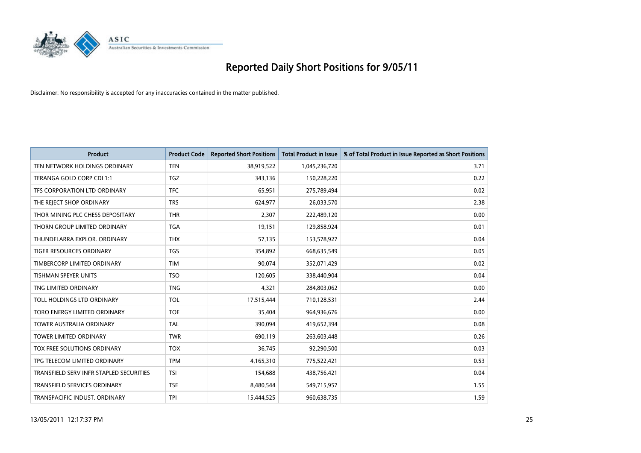

| <b>Product</b>                          | <b>Product Code</b> | <b>Reported Short Positions</b> | <b>Total Product in Issue</b> | % of Total Product in Issue Reported as Short Positions |
|-----------------------------------------|---------------------|---------------------------------|-------------------------------|---------------------------------------------------------|
| TEN NETWORK HOLDINGS ORDINARY           | <b>TEN</b>          | 38,919,522                      | 1,045,236,720                 | 3.71                                                    |
| TERANGA GOLD CORP CDI 1:1               | <b>TGZ</b>          | 343,136                         | 150,228,220                   | 0.22                                                    |
| TFS CORPORATION LTD ORDINARY            | <b>TFC</b>          | 65,951                          | 275,789,494                   | 0.02                                                    |
| THE REJECT SHOP ORDINARY                | <b>TRS</b>          | 624,977                         | 26,033,570                    | 2.38                                                    |
| THOR MINING PLC CHESS DEPOSITARY        | <b>THR</b>          | 2.307                           | 222,489,120                   | 0.00                                                    |
| THORN GROUP LIMITED ORDINARY            | <b>TGA</b>          | 19,151                          | 129,858,924                   | 0.01                                                    |
| THUNDELARRA EXPLOR. ORDINARY            | <b>THX</b>          | 57,135                          | 153,578,927                   | 0.04                                                    |
| TIGER RESOURCES ORDINARY                | <b>TGS</b>          | 354,892                         | 668,635,549                   | 0.05                                                    |
| TIMBERCORP LIMITED ORDINARY             | <b>TIM</b>          | 90,074                          | 352,071,429                   | 0.02                                                    |
| <b>TISHMAN SPEYER UNITS</b>             | <b>TSO</b>          | 120,605                         | 338,440,904                   | 0.04                                                    |
| TNG LIMITED ORDINARY                    | <b>TNG</b>          | 4,321                           | 284,803,062                   | 0.00                                                    |
| TOLL HOLDINGS LTD ORDINARY              | <b>TOL</b>          | 17,515,444                      | 710,128,531                   | 2.44                                                    |
| TORO ENERGY LIMITED ORDINARY            | <b>TOE</b>          | 35,404                          | 964,936,676                   | 0.00                                                    |
| <b>TOWER AUSTRALIA ORDINARY</b>         | <b>TAL</b>          | 390,094                         | 419,652,394                   | 0.08                                                    |
| <b>TOWER LIMITED ORDINARY</b>           | <b>TWR</b>          | 690,119                         | 263,603,448                   | 0.26                                                    |
| TOX FREE SOLUTIONS ORDINARY             | <b>TOX</b>          | 36,745                          | 92,290,500                    | 0.03                                                    |
| TPG TELECOM LIMITED ORDINARY            | <b>TPM</b>          | 4,165,310                       | 775,522,421                   | 0.53                                                    |
| TRANSFIELD SERV INFR STAPLED SECURITIES | <b>TSI</b>          | 154,688                         | 438,756,421                   | 0.04                                                    |
| <b>TRANSFIELD SERVICES ORDINARY</b>     | <b>TSE</b>          | 8,480,544                       | 549,715,957                   | 1.55                                                    |
| TRANSPACIFIC INDUST, ORDINARY           | <b>TPI</b>          | 15.444.525                      | 960,638,735                   | 1.59                                                    |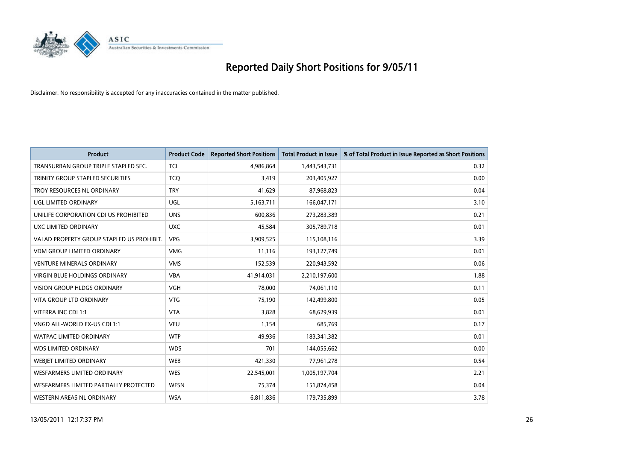

| <b>Product</b>                            | <b>Product Code</b> | <b>Reported Short Positions</b> | <b>Total Product in Issue</b> | % of Total Product in Issue Reported as Short Positions |
|-------------------------------------------|---------------------|---------------------------------|-------------------------------|---------------------------------------------------------|
| TRANSURBAN GROUP TRIPLE STAPLED SEC.      | <b>TCL</b>          | 4,986,864                       | 1,443,543,731                 | 0.32                                                    |
| TRINITY GROUP STAPLED SECURITIES          | <b>TCQ</b>          | 3,419                           | 203,405,927                   | 0.00                                                    |
| TROY RESOURCES NL ORDINARY                | <b>TRY</b>          | 41,629                          | 87,968,823                    | 0.04                                                    |
| UGL LIMITED ORDINARY                      | UGL                 | 5,163,711                       | 166,047,171                   | 3.10                                                    |
| UNILIFE CORPORATION CDI US PROHIBITED     | <b>UNS</b>          | 600.836                         | 273,283,389                   | 0.21                                                    |
| UXC LIMITED ORDINARY                      | <b>UXC</b>          | 45,584                          | 305,789,718                   | 0.01                                                    |
| VALAD PROPERTY GROUP STAPLED US PROHIBIT. | <b>VPG</b>          | 3,909,525                       | 115,108,116                   | 3.39                                                    |
| VDM GROUP LIMITED ORDINARY                | <b>VMG</b>          | 11,116                          | 193,127,749                   | 0.01                                                    |
| <b>VENTURE MINERALS ORDINARY</b>          | <b>VMS</b>          | 152,539                         | 220,943,592                   | 0.06                                                    |
| <b>VIRGIN BLUE HOLDINGS ORDINARY</b>      | <b>VBA</b>          | 41,914,031                      | 2,210,197,600                 | 1.88                                                    |
| VISION GROUP HLDGS ORDINARY               | <b>VGH</b>          | 78,000                          | 74,061,110                    | 0.11                                                    |
| <b>VITA GROUP LTD ORDINARY</b>            | <b>VTG</b>          | 75,190                          | 142,499,800                   | 0.05                                                    |
| VITERRA INC CDI 1:1                       | <b>VTA</b>          | 3,828                           | 68,629,939                    | 0.01                                                    |
| VNGD ALL-WORLD EX-US CDI 1:1              | <b>VEU</b>          | 1,154                           | 685,769                       | 0.17                                                    |
| <b>WATPAC LIMITED ORDINARY</b>            | <b>WTP</b>          | 49,936                          | 183,341,382                   | 0.01                                                    |
| <b>WDS LIMITED ORDINARY</b>               | <b>WDS</b>          | 701                             | 144,055,662                   | 0.00                                                    |
| <b>WEBJET LIMITED ORDINARY</b>            | <b>WEB</b>          | 421,330                         | 77,961,278                    | 0.54                                                    |
| <b>WESFARMERS LIMITED ORDINARY</b>        | <b>WES</b>          | 22,545,001                      | 1,005,197,704                 | 2.21                                                    |
| WESFARMERS LIMITED PARTIALLY PROTECTED    | WESN                | 75,374                          | 151,874,458                   | 0.04                                                    |
| WESTERN AREAS NL ORDINARY                 | <b>WSA</b>          | 6,811,836                       | 179,735,899                   | 3.78                                                    |